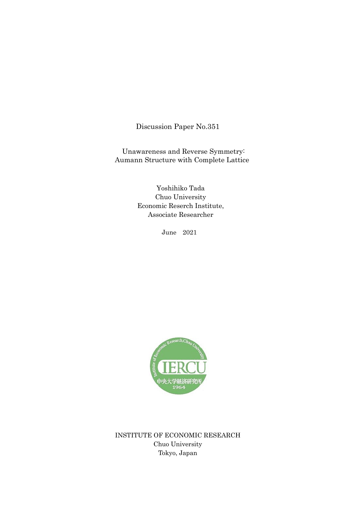Discussion Paper No.351

Unawareness and Reverse Symmetry: Aumann Structure with Complete Lattice

> Yoshihiko Tada Chuo University Economic Reserch Institute, Associate Researcher

> > June 2021



INSTITUTE OF ECONOMIC RESEARCH Chuo University Tokyo, Japan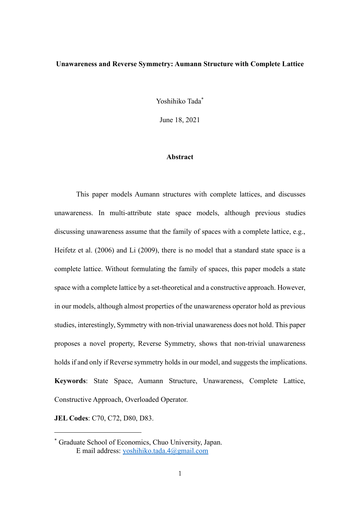## **Unawareness and Reverse Symmetry: Aumann Structure with Complete Lattice**

Yoshihiko Tada\*

June 18, 2021

### **Abstract**

 This paper models Aumann structures with complete lattices, and discusses unawareness. In multi-attribute state space models, although previous studies discussing unawareness assume that the family of spaces with a complete lattice, e.g., Heifetz et al. (2006) and Li (2009), there is no model that a standard state space is a complete lattice. Without formulating the family of spaces, this paper models a state space with a complete lattice by a set-theoretical and a constructive approach. However, in our models, although almost properties of the unawareness operator hold as previous studies, interestingly, Symmetry with non-trivial unawareness does not hold. This paper proposes a novel property, Reverse Symmetry, shows that non-trivial unawareness holds if and only if Reverse symmetry holds in our model, and suggests the implications. **Keywords**: State Space, Aumann Structure, Unawareness, Complete Lattice, Constructive Approach, Overloaded Operator.

**JEL Codes**: C70, C72, D80, D83.

<sup>\*</sup> Graduate School of Economics, Chuo University, Japan. E mail address: [yoshihiko.tada.4@gmail.com](mailto:yoshihiko.tada.4@gmail.com)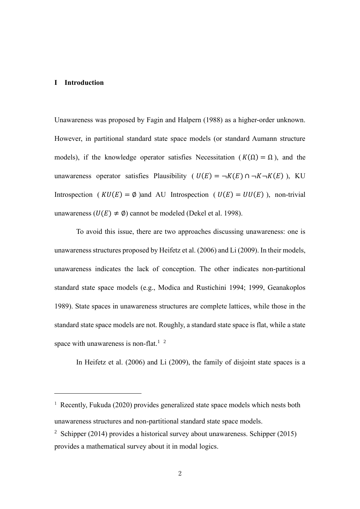#### **I Introduction**

Unawareness was proposed by Fagin and Halpern (1988) as a higher-order unknown. However, in partitional standard state space models (or standard Aumann structure models), if the knowledge operator satisfies Necessitation ( $K(\Omega) = \Omega$ ), and the unawareness operator satisfies Plausibility (  $U(E) = \neg K(E) \cap \neg K \neg K(E)$ ), KU Introspection ( $KU(E) = \emptyset$ )and AU Introspection ( $U(E) = UU(E)$ ), non-trivial unawareness ( $U(E) \neq \emptyset$ ) cannot be modeled (Dekel et al. 1998).

 To avoid this issue, there are two approaches discussing unawareness: one is unawareness structures proposed by Heifetz et al. (2006) and Li (2009). In their models, unawareness indicates the lack of conception. The other indicates non-partitional standard state space models (e.g., Modica and Rustichini 1994; 1999, Geanakoplos 1989). State spaces in unawareness structures are complete lattices, while those in the standard state space models are not. Roughly, a standard state space is flat, while a state space with unawareness is non-flat.<sup>1</sup> <sup>2</sup>

In Heifetz et al. (2006) and Li (2009), the family of disjoint state spaces is a

<sup>1</sup> Recently, Fukuda (2020) provides generalized state space models which nests both unawareness structures and non-partitional standard state space models.

<sup>&</sup>lt;sup>2</sup> Schipper (2014) provides a historical survey about unawareness. Schipper (2015) provides a mathematical survey about it in modal logics.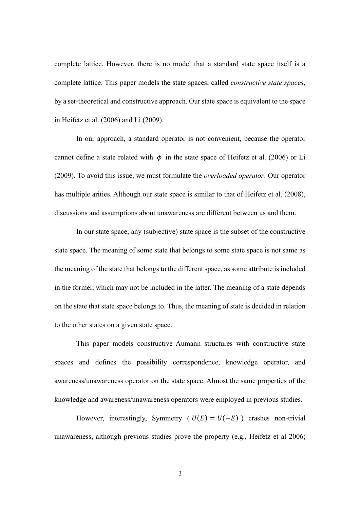complete lattice. However, there is no model that a standard state space itself is a complete lattice. This paper models the state spaces, called *constructive state spaces*, by a set-theoretical and constructive approach. Our state space is equivalent to the space in Heifetz et al. (2006) and Li (2009).

 In our approach, a standard operator is not convenient, because the operator cannot define a state related with  $\phi$  in the state space of Heifetz et al. (2006) or Li (2009). To avoid this issue, we must formulate the *overloaded operator*. Our operator has multiple arities. Although our state space is similar to that of Heifetz et al. (2008), discussions and assumptions about unawareness are different between us and them.

 In our state space, any (subjective) state space is the subset of the constructive state space. The meaning of some state that belongs to some state space is not same as the meaning of the state that belongs to the different space, as some attribute is included in the former, which may not be included in the latter. The meaning of a state depends on the state that state space belongs to. Thus, the meaning of state is decided in relation to the other states on a given state space.

 This paper models constructive Aumann structures with constructive state spaces and defines the possibility correspondence, knowledge operator, and awareness/unawareness operator on the state space. Almost the same properties of the knowledge and awareness/unawareness operators were employed in previous studies.

However, interestingly, Symmetry ( $U(E) = U(\neg E)$ ) crashes non-trivial unawareness, although previous studies prove the property (e.g., Heifetz et al 2006;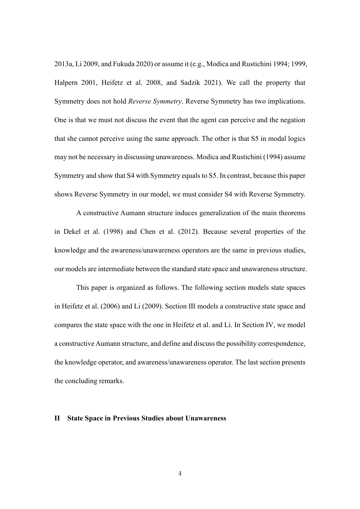2013a, Li 2009, and Fukuda 2020) or assume it (e.g., Modica and Rustichini 1994; 1999, Halpern 2001, Heifetz et al. 2008, and Sadzik 2021). We call the property that Symmetry does not hold *Reverse Symmetry*. Reverse Symmetry has two implications. One is that we must not discuss the event that the agent can perceive and the negation that she cannot perceive using the same approach. The other is that S5 in modal logics may not be necessary in discussing unawareness. Modica and Rustichini (1994) assume Symmetry and show that S4 with Symmetry equals to S5. In contrast, because this paper shows Reverse Symmetry in our model, we must consider S4 with Reverse Symmetry.

 A constructive Aumann structure induces generalization of the main theorems in Dekel et al. (1998) and Chen et al. (2012). Because several properties of the knowledge and the awareness/unawareness operators are the same in previous studies, our models are intermediate between the standard state space and unawareness structure.

 This paper is organized as follows. The following section models state spaces in Heifetz et al. (2006) and Li (2009). Section Ⅲ models a constructive state space and compares the state space with the one in Heifetz et al. and Li. In Section Ⅳ, we model a constructive Aumann structure, and define and discuss the possibility correspondence, the knowledge operator, and awareness/unawareness operator. The last section presents the concluding remarks.

### **II State Space in Previous Studies about Unawareness**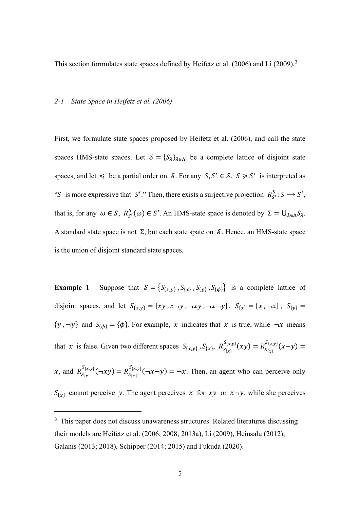This section formulates state spaces defined by Heifetz et al. (2006) and Li (2009).<sup>3</sup>

#### *2-1 State Space in Heifetz et al. (2006)*

First, we formulate state spaces proposed by Heifetz et al. (2006), and call the state spaces HMS-state spaces. Let  $S = \{S_{\lambda}\}_{{\lambda} \in {\Lambda}}$  be a complete lattice of disjoint state spaces, and let  $\leq$  be a partial order on S. For any  $S, S' \in S$ ,  $S \geq S'$  is interpreted as "S is more expressive that S'." Then, there exists a surjective projection  $R_{S'}^S$ :  $S \rightarrow S'$ , that is, for any  $\omega \in S$ ,  $R_{S'}^S(\omega) \in S'$ . An HMS-state space is denoted by  $\Sigma = \bigcup_{\lambda \in \Lambda} S_{\lambda}$ . A standard state space is not  $\Sigma$ , but each state spate on S. Hence, an HMS-state space is the union of disjoint standard state spaces.

**Example 1** Suppose that  $S = \{S_{\{x,y\}}, S_{\{x\}}, S_{\{y\}}, S_{\{\phi\}}\}$  is a complete lattice of disjoint spaces, and let  $S_{\{x,y\}} = \{xy, x \to y, -xy, -x \to y\}$ ,  $S_{\{x\}} = \{x, -x\}$ ,  $S_{\{y\}} =$  $\{y, \neg y\}$  and  $S_{\{\phi\}} = \{\phi\}$ . For example, x indicates that x is true, while  $\neg x$  means that x is false. Given two different spaces  $S_{\{x,y\}}$ ,  $S_{\{x\}}$ ,  $R_{S_{\{x\}}}^{S_{\{x,y\}}}(xy) = R_{S_{\{x\}}}^{S_{\{x,y\}}}(x-y)$ x, and  $R_{S_{\{x\}}}^{S_{\{x,y\}}}(-xy) = R_{S_{\{x\}}}^{S_{\{x,y\}}}(-x-y) = -x$ . Then, an agent who can perceive only

 ${S}_{\{x\}}$  cannot perceive y. The agent perceives x for xy or  $x \rightarrow y$ , while she perceives

<sup>&</sup>lt;sup>3</sup> This paper does not discuss unawareness structures. Related literatures discussing their models are Heifetz et al. (2006; 2008; 2013a), Li (2009), Heinsalu (2012), Galanis (2013; 2018), Schipper (2014; 2015) and Fukuda (2020).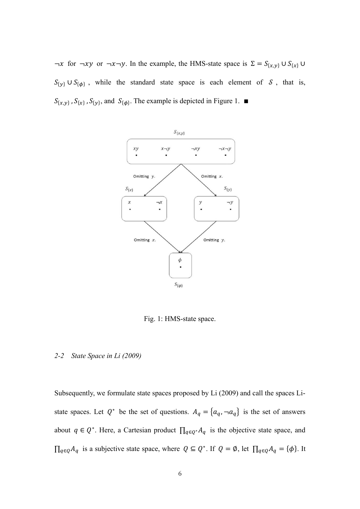$\neg x$  for  $\neg xy$  or  $\neg x \neg y$ . In the example, the HMS-state space is  $\Sigma = S_{\{x,y\}} \cup S_{\{x\}}$  $S_{\{y\}} \cup S_{\{\phi\}}$ , while the standard state space is each element of S, that is,  $S_{\{x,y\}}$ ,  $S_{\{x\}}$ ,  $S_{\{y\}}$ , and  $S_{\{\phi\}}$ . The example is depicted in Figure 1. ■



Fig. 1: HMS-state space.

## *2-2 State Space in Li (2009)*

Subsequently, we formulate state spaces proposed by Li (2009) and call the spaces Listate spaces. Let  $Q^*$  be the set of questions.  $A_q = \{a_q, \neg a_q\}$  is the set of answers about  $q \in Q^*$ . Here, a Cartesian product  $\prod_{q \in Q^*} A_q$  is the objective state space, and  $\prod_{q \in Q} A_q$  is a subjective state space, where  $Q \subseteq Q^*$ . If  $Q = \emptyset$ , let  $\prod_{q \in Q} A_q = \{\phi\}$ . It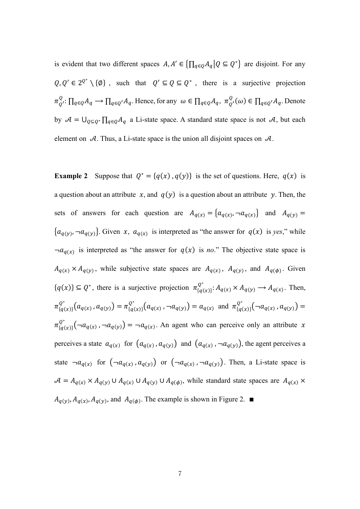is evident that two different spaces  $A, A' \in \left\{ \prod_{q \in Q} A_q \middle| Q \subseteq Q^* \right\}$  are disjoint. For any  $Q, Q' \in 2^{Q^*} \setminus \{\emptyset\}$ , such that  $Q' \subseteq Q \subseteq Q^*$ , there is a surjective projection  $\pi_{Q'}^Q: \prod_{q\in Q} A_q \longrightarrow \prod_{q\in Q'} A_q$ . Hence, for any  $\omega \in \prod_{q\in Q} A_q$ ,  $\pi_{Q'}^Q(\omega) \in \prod_{q\in Q'} A_q$ . Denote by  $\mathcal{A} = \bigcup_{Q \subseteq Q^*} \prod_{q \in Q} A_q$  a Li-state space. A standard state space is not  $\mathcal{A}$ , but each element on  $A$ . Thus, a Li-state space is the union all disjoint spaces on  $A$ .

**Example 2** Suppose that  $Q^* = \{q(x), q(y)\}\$ is the set of questions. Here,  $q(x)$  is a question about an attribute  $x$ , and  $q(y)$  is a question about an attribute y. Then, the sets of answers for each question are  $A_{q(x)} = \{a_{q(x)}, -a_{q(x)}\}$  and  $A_{q(y)} =$  $\{a_{q(y)}, -a_{q(y)}\}\.$  Given x,  $a_{q(x)}$  is interpreted as "the answer for  $q(x)$  is *yes*," while  $\neg a_{q(x)}$  is interpreted as "the answer for  $q(x)$  is *no*." The objective state space is  $A_{q(x)} \times A_{q(y)}$ , while subjective state spaces are  $A_{q(x)}$ ,  $A_{q(y)}$ , and  $A_{q(\phi)}$ . Given  ${q(x)} \subseteq Q^*$ , there is a surjective projection  $\pi_{\{q(x)\}}^{Q^*} : A_{q(x)} \times A_{q(y)} \longrightarrow A_{q(x)}$ . Then,  $\pi_{\{q(x)\}}^{Q^*}(a_{q(x)}, a_{q(y)}) = \pi_{\{q(x)\}}^{Q^*}(a_{q(x)}, \neg a_{q(y)}) = a_{q(x)}$  and  $\pi_{\{q(x)\}}^{Q^*}(\neg a_{q(x)}, a_{q(y)}) =$  $\pi_{\{q(x)\}}^{Q^*}(\neg a_{q(x)}, \neg a_{q(y)}) = \neg a_{q(x)}$ . An agent who can perceive only an attribute x perceives a state  $a_{q(x)}$  for  $(a_{q(x)}, a_{q(y)})$  and  $(a_{q(x)}, -a_{q(y)})$ , the agent perceives a state  $\neg a_{q(x)}$  for  $(\neg a_{q(x)}, a_{q(y)})$  or  $(\neg a_{q(x)}, \neg a_{q(y)})$ . Then, a Li-state space is  $A = A_{q(x)} \times A_{q(y)} \cup A_{q(x)} \cup A_{q(y)} \cup A_{q(\phi)}$ , while standard state spaces are  $A_{q(x)} \times A_{q(y)}$  $A_{q(y)}$ ,  $A_{q(x)}$ ,  $A_{q(y)}$ , and  $A_{q(\phi)}$ . The example is shown in Figure 2.  $\blacksquare$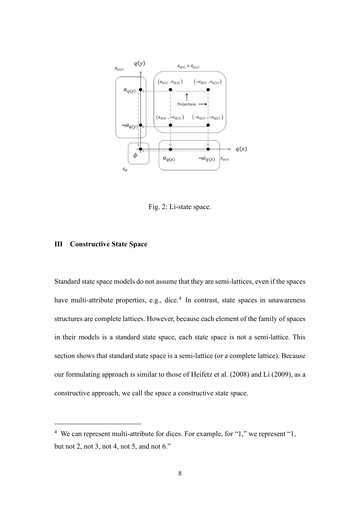

Fig. 2: Li-state space.

## **Ⅲ Constructive State Space**

Standard state space models do not assume that they are semi-lattices, even if the spaces have multi-attribute properties, e.g., dice.<sup>4</sup> In contrast, state spaces in unawareness structures are complete lattices. However, because each element of the family of spaces in their models is a standard state space, each state space is not a semi-lattice. This section shows that standard state space is a semi-lattice (or a complete lattice). Because our formulating approach is similar to those of Heifetz et al. (2008) and Li (2009), as a constructive approach, we call the space a constructive state space.

<sup>4</sup> We can represent multi-attribute for dices. For example, for "1," we represent "1, but not 2, not 3, not 4, not 5, and not 6."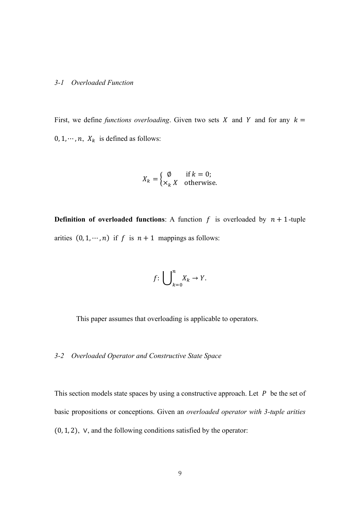#### *3-1 Overloaded Function*

First, we define *functions overloading*. Given two sets X and Y and for any  $k =$  $0, 1, \dots, n$ ,  $X_k$  is defined as follows:

$$
X_k = \begin{cases} \emptyset & \text{if } k = 0; \\ \times_k X & \text{otherwise.} \end{cases}
$$

**Definition of overloaded functions:** A function  $f$  is overloaded by  $n + 1$ -tuple arities  $(0, 1, \dots, n)$  if f is  $n + 1$  mappings as follows:

$$
f\colon \bigcup\nolimits_{k=0}^n X_k \to Y.
$$

This paper assumes that overloading is applicable to operators.

## *3-2 Overloaded Operator and Constructive State Space*

This section models state spaces by using a constructive approach. Let  $P$  be the set of basic propositions or conceptions. Given an *overloaded operator with 3-tuple arities* (0, 1, 2), ∨, and the following conditions satisfied by the operator: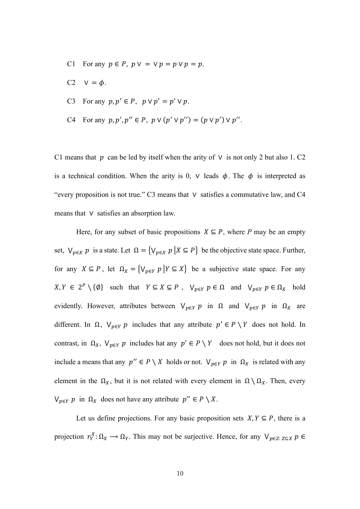- C1 For any  $p \in P$ ,  $p \vee p = \vee p = p \vee p = p$ .
- C2  $V = \phi$ .
- C3 For any  $p, p' \in P$ ,  $p \vee p' = p' \vee p$ .
- C4 For any  $p, p', p'' \in P$ ,  $p \vee (p' \vee p'') = (p \vee p') \vee p''$ .

C1 means that  $p$  can be led by itself when the arity of  $\vee$  is not only 2 but also 1. C2 is a technical condition. When the arity is 0,  $\vee$  leads  $\phi$ . The  $\phi$  is interpreted as "every proposition is not true." C3 means that ∨ satisfies a commutative law, and C4 means that ∨ satisfies an absorption law.

Here, for any subset of basic propositions  $X \subseteq P$ , where *P* may be an empty set,  $V_{p \in X}$  *p* is a state. Let  $\Omega = \{V_{p \in X} p | X \subseteq P\}$  be the objective state space. Further, for any  $X \subseteq P$ , let  $\Omega_X = \{V_{p \in Y} p | Y \subseteq X\}$  be a subjective state space. For any  $X, Y \in 2^P \setminus \{\emptyset\}$  such that  $Y \subseteq X \subsetneq P$ ,  $V_{p \in Y} p \in \Omega$  and  $V_{p \in Y} p \in \Omega_X$  hold evidently. However, attributes between  $V_{p \in Y}$  p in  $\Omega$  and  $V_{p \in Y}$  p in  $\Omega_X$  are different. In  $\Omega$ ,  $V_{p \in Y}$  p includes that any attribute  $p' \in P \setminus Y$  does not hold. In contrast, in  $\Omega_X$ ,  $\vee_{p \in Y} p$  includes hat any  $p' \in P \setminus Y$  does not hold, but it does not include a means that any  $p'' \in P \setminus X$  holds or not.  $\bigvee_{p \in Y} p$  in  $\Omega_X$  is related with any element in the  $\Omega_X$ , but it is not related with every element in  $\Omega \setminus \Omega_X$ . Then, every  $\bigvee_{p \in Y} p$  in  $\Omega_X$  does not have any attribute  $p'' \in P \setminus X$ .

Let us define projections. For any basic proposition sets  $X, Y \subseteq P$ , there is a projection  $r_Y^X: \Omega_X \to \Omega_Y$ . This may not be surjective. Hence, for any  $\bigvee_{p \in Z: Z \subseteq X} p \in$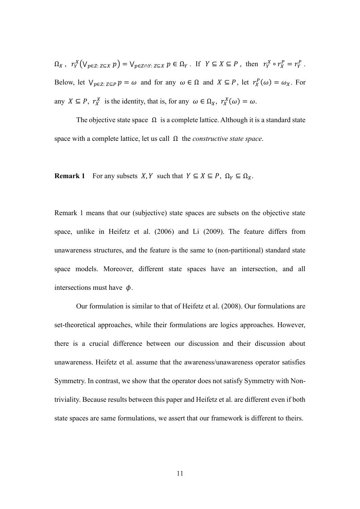$$
\Omega_X, r_Y^X \big( \vee_{p \in Z: Z \subseteq X} p \big) = \vee_{p \in Z \cap Y: Z \subseteq X} p \in \Omega_Y. \text{ If } Y \subseteq X \subseteq P, \text{ then } r_Y^X \circ r_X^P = r_Y^P.
$$
  
Below, let  $\vee_{p \in Z: Z \subseteq P} p = \omega$  and for any  $\omega \in \Omega$  and  $X \subseteq P$ , let  $r_X^P(\omega) = \omega_X$ . For any  $X \subseteq P$ ,  $r_X^X$  is the identity, that is, for any  $\omega \in \Omega_X$ ,  $r_X^X(\omega) = \omega$ .

The objective state space  $\Omega$  is a complete lattice. Although it is a standard state space with a complete lattice, let us call Ω the *constructive state space*.

**Remark 1** For any subsets  $X, Y$  such that  $Y \subseteq X \subseteq P$ ,  $\Omega_Y \subseteq \Omega_X$ .

Remark 1 means that our (subjective) state spaces are subsets on the objective state space, unlike in Heifetz et al. (2006) and Li (2009). The feature differs from unawareness structures, and the feature is the same to (non-partitional) standard state space models. Moreover, different state spaces have an intersection, and all intersections must have  $\phi$ .

 Our formulation is similar to that of Heifetz et al. (2008). Our formulations are set-theoretical approaches, while their formulations are logics approaches. However, there is a crucial difference between our discussion and their discussion about unawareness. Heifetz et al. assume that the awareness/unawareness operator satisfies Symmetry. In contrast, we show that the operator does not satisfy Symmetry with Nontriviality. Because results between this paper and Heifetz et al. are different even if both state spaces are same formulations, we assert that our framework is different to theirs.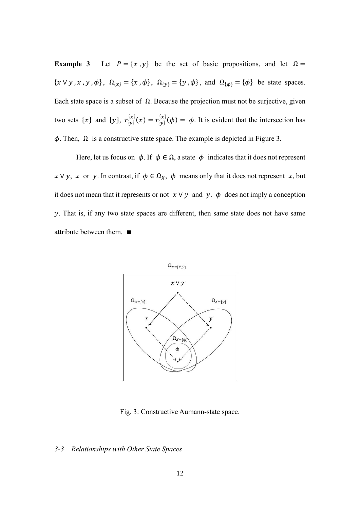**Example 3** Let  $P = \{x, y\}$  be the set of basic propositions, and let  $\Omega =$  $\{x \vee y, x, y, \phi\}, \ \Omega_{\{x\}} = \{x, \phi\}, \ \Omega_{\{y\}} = \{y, \phi\}, \text{ and } \Omega_{\{\phi\}} = \{\phi\}$  be state spaces. Each state space is a subset of  $\Omega$ . Because the projection must not be surjective, given two sets  $\{x\}$  and  $\{y\}$ ,  $r_{\{y\}}^{x} (x) = r_{\{y\}}^{x} (\phi) = \phi$ . It is evident that the intersection has  $\phi$ . Then,  $\Omega$  is a constructive state space. The example is depicted in Figure 3.

Here, let us focus on  $\phi$ . If  $\phi \in \Omega$ , a state  $\phi$  indicates that it does not represent  $x \vee y$ ,  $x$  or  $y$ . In contrast, if  $\phi \in \Omega_X$ ,  $\phi$  means only that it does not represent  $x$ , but it does not mean that it represents or not  $x \vee y$  and y.  $\phi$  does not imply a conception  $\nu$ . That is, if any two state spaces are different, then same state does not have same attribute between them. ∎



Fig. 3: Constructive Aumann-state space.

#### *3-3 Relationships with Other State Spaces*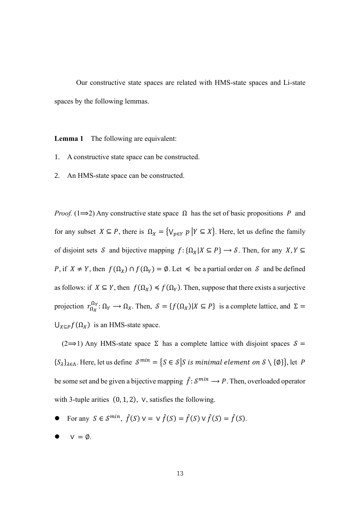Our constructive state spaces are related with HMS-state spaces and Li-state spaces by the following lemmas.

**Lemma 1** The following are equivalent:

- 1. A constructive state space can be constructed.
- 2. An HMS-state space can be constructed.

*Proof.* (1 $\Rightarrow$ 2) Any constructive state space  $\Omega$  has the set of basic propositions P and for any subset  $X \subseteq P$ , there is  $\Omega_X = \{ \vee_{p \in Y} p \mid Y \subseteq X \}$ . Here, let us define the family of disjoint sets  $S$  and bijective mapping  $f: \{\Omega_X | X \subseteq P\} \longrightarrow S$ . Then, for any  $X, Y \subseteq$ P, if  $X \neq Y$ , then  $f(\Omega_X) \cap f(\Omega_Y) = \emptyset$ . Let  $\preccurlyeq$  be a partial order on S and be defined as follows: if  $X \subseteq Y$ , then  $f(\Omega_X) \leq f(\Omega_Y)$ . Then, suppose that there exists a surjective projection  $r_{\Omega_X}^{\Omega_Y} : \Omega_Y \to \Omega_X$ . Then,  $S = \{f(\Omega_X) | X \subseteq P\}$  is a complete lattice, and  $\Sigma =$  $\bigcup_{X \subseteq P} f(\Omega_X)$  is an HMS-state space.

(2 $\Rightarrow$ 1) Any HMS-state space Σ has a complete lattice with disjoint spaces  $\delta$  =  $\{S_{\lambda}\}_{{\lambda}\in {\Lambda}}$ . Here, let us define  $S^{min} = \{S \in S | S \text{ is minimal element on } S \setminus \{\emptyset\}\}\)$ , let P be some set and be given a bijective mapping  $\hat{f}: \mathcal{S}^{min} \to P$ . Then, overloaded operator with 3-tuple arities (0, 1, 2), ∨, satisfies the following.

- For any  $S \in \mathcal{S}^{min}$ ,  $\hat{f}(S) \vee \{ \vee \hat{f}(S) = \hat{f}(S) \vee \hat{f}(S) = \hat{f}(S)$ .
- $V = \emptyset$ .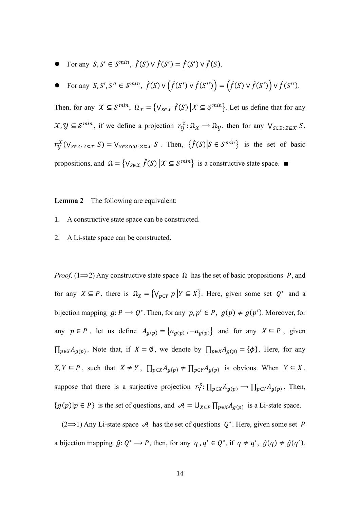- For any  $S, S' \in \mathcal{S}^{min}$ ,  $\hat{f}(S) \vee \hat{f}(S') = \hat{f}(S') \vee \hat{f}(S)$ .
- For any  $S, S', S'' \in S^{min}$ ,  $\hat{f}(S) \vee (\hat{f}(S') \vee \hat{f}(S'')) = (\hat{f}(S) \vee \hat{f}(S')) \vee \hat{f}(S'')$ .

Then, for any  $\mathcal{X} \subseteq \mathcal{S}^{min}$ ,  $\Omega_{\mathcal{X}} = \{V_{\mathcal{S} \in \mathcal{X}} \hat{f}(S) | \mathcal{X} \subseteq \mathcal{S}^{min}\}$ . Let us define that for any  $\mathcal{X}, \mathcal{Y} \subseteq \mathcal{S}^{min}$ , if we define a projection  $r_{\mathcal{Y}}^{\mathcal{X}}: \Omega_{\mathcal{X}} \to \Omega_{\mathcal{Y}}$ , then for any  $\bigvee_{S \in \mathcal{Z} : Z \subseteq \mathcal{X}} S$ ,  $r_{\mathcal{Y}}^{\mathcal{X}}(\vee_{S \in \mathcal{Z}: Z \subseteq \mathcal{X}} S) = \vee_{S \in \mathcal{Z} \cap \mathcal{Y}: Z \subseteq \mathcal{X}} S$ . Then,  $\{\hat{f}(S) | S \in \mathcal{S}^{min}\}\$ is the set of basic propositions, and  $\Omega = \{ V_{S \in \mathcal{X}} \hat{f}(S) | \mathcal{X} \subseteq S^{min} \}$  is a constructive state space.  $\blacksquare$ 

**Lemma 2** The following are equivalent:

- 1. A constructive state space can be constructed.
- 2. A Li-state space can be constructed.

*Proof.* (1 $\Rightarrow$ 2) Any constructive state space  $\Omega$  has the set of basic propositions P, and for any  $X \subseteq P$ , there is  $\Omega_X = \{ \vee_{p \in Y} p \mid Y \subseteq X \}$ . Here, given some set  $Q^*$  and a bijection mapping  $g: P \to Q^*$ . Then, for any  $p, p' \in P$ ,  $g(p) \neq g(p')$ . Moreover, for any  $p \in P$ , let us define  $A_{g(p)} = \{a_{g(p)}, \neg a_{g(p)}\}$  and for any  $X \subseteq P$ , given  $\prod_{p\in X}A_{g(p)}$ . Note that, if  $X = \emptyset$ , we denote by  $\prod_{p\in X}A_{g(p)} = {\emptyset}$ . Here, for any  $X, Y \subseteq P$ , such that  $X \neq Y$ ,  $\prod_{p \in X} A_{g(p)} \neq \prod_{p \in Y} A_{g(p)}$  is obvious. When  $Y \subseteq X$ , suppose that there is a surjective projection  $r_Y^X: \prod_{p\in X} A_{g(p)} \to \prod_{p\in Y} A_{g(p)}$ . Then,  ${g(p)|p \in P}$  is the set of questions, and  $\mathcal{A} = \bigcup_{X \subseteq P} \prod_{p \in X} A_{g(p)}$  is a Li-state space.

 $(2\rightarrow 1)$  Any Li-state space A has the set of questions  $Q^*$ . Here, given some set P a bijection mapping  $\hat{g} \colon Q^* \to P$ , then, for any  $q, q' \in Q^*$ , if  $q \neq q'$ ,  $\hat{g}(q) \neq \hat{g}(q')$ .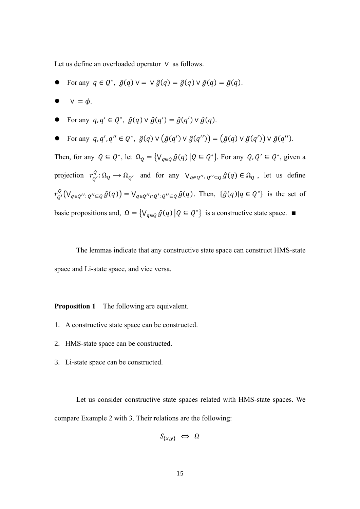Let us define an overloaded operator ∨ as follows.

- For any  $q \in Q^*$ ,  $\hat{g}(q) \vee = \vee \hat{g}(q) = \hat{g}(q) \vee \hat{g}(q) = \hat{g}(q)$ .
- $\bullet \quad \vee = \phi.$
- For any  $q, q' \in Q^*$ ,  $\hat{g}(q) \vee \hat{g}(q') = \hat{g}(q') \vee \hat{g}(q)$ .
- For any  $q, q', q'' \in Q^*$ ,  $\hat{g}(q) \vee (\hat{g}(q') \vee \hat{g}(q'')) = (\hat{g}(q) \vee \hat{g}(q')) \vee \hat{g}(q'')$ .

Then, for any  $Q \subseteq Q^*$ , let  $\Omega_Q = \{ V_{q \in Q} \hat{g}(q) | Q \subseteq Q^* \}$ . For any  $Q, Q' \subseteq Q^*$ , given a projection  $r_Q^Q$ :  $\Omega_Q \to \Omega_{Q'}$  and for any  $V_{q \in Q'' : Q'' \subseteq Q}$   $\hat{g}(q) \in \Omega_Q$ , let us define  $r_{Q'}^Q(\bigvee_{q\in Q'': Q''\subseteq Q}\hat{g}(q)) = \bigvee_{q\in Q''\cap Q': Q''\subseteq Q}\hat{g}(q)$ . Then,  $\{\hat{g}(q)|q\in Q^*\}$  is the set of basic propositions and,  $\Omega = \{ V_{q \in Q} \hat{g}(q) | Q \subseteq Q^* \}$  is a constructive state space.

 The lemmas indicate that any constructive state space can construct HMS-state space and Li-state space, and vice versa.

**Proposition 1** The following are equivalent.

- 1. A constructive state space can be constructed.
- 2. HMS-state space can be constructed.
- 3. Li-state space can be constructed.

 Let us consider constructive state spaces related with HMS-state spaces. We compare Example 2 with 3. Their relations are the following:

$$
S_{\{x,y\}} \iff \Omega
$$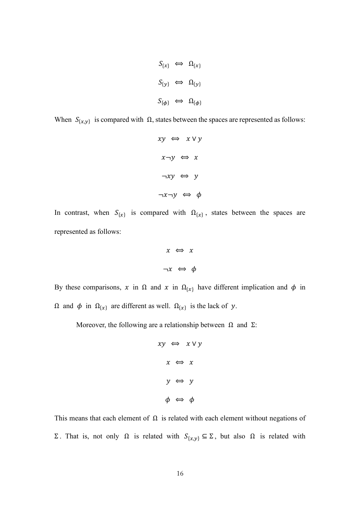$$
S_{\{x\}} \iff \Omega_{\{x\}}
$$
  

$$
S_{\{y\}} \iff \Omega_{\{y\}}
$$
  

$$
S_{\{\phi\}} \iff \Omega_{\{\phi\}}
$$

When  $S_{\{x,y\}}$  is compared with  $\Omega$ , states between the spaces are represented as follows:

$$
xy \Leftrightarrow x \lor y
$$

$$
x \neg y \Leftrightarrow x
$$

$$
\neg xy \Leftrightarrow y
$$

$$
\neg x \neg y \Leftrightarrow \phi
$$

In contrast, when  $S_{\{x\}}$  is compared with  $\Omega_{\{x\}}$ , states between the spaces are represented as follows:

$$
x \iff x
$$
  

$$
\neg x \iff \phi
$$

By these comparisons, x in  $\Omega$  and x in  $\Omega_{\{x\}}$  have different implication and  $\phi$  in  $Ω$  and  $φ$  in  $Ω_{\{x\}}$  are different as well.  $Ω_{\{x\}}$  is the lack of y.

Moreover, the following are a relationship between  $\Omega$  and  $\Sigma$ :

$$
xy \Leftrightarrow x \lor y
$$

$$
x \Leftrightarrow x
$$

$$
y \Leftrightarrow y
$$

$$
\phi \Leftrightarrow \phi
$$

This means that each element of  $\Omega$  is related with each element without negations of Σ. That is, not only  $\Omega$  is related with  $S_{\{x,y\}} \subseteq \Sigma$ , but also  $\Omega$  is related with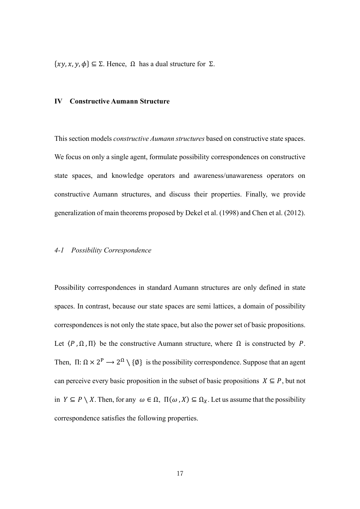$\{xy, x, y, \phi\} \subseteq \Sigma$ . Hence,  $\Omega$  has a dual structure for  $\Sigma$ .

#### **Ⅳ Constructive Aumann Structure**

This section models *constructive Aumann structures* based on constructive state spaces. We focus on only a single agent, formulate possibility correspondences on constructive state spaces, and knowledge operators and awareness/unawareness operators on constructive Aumann structures, and discuss their properties. Finally, we provide generalization of main theorems proposed by Dekel et al. (1998) and Chen et al. (2012).

# *4-1 Possibility Correspondence*

Possibility correspondences in standard Aumann structures are only defined in state spaces. In contrast, because our state spaces are semi lattices, a domain of possibility correspondences is not only the state space, but also the power set of basic propositions. Let  $\langle P, \Omega, \Pi \rangle$  be the constructive Aumann structure, where  $\Omega$  is constructed by P. Then,  $\Pi: \Omega \times 2^P \to 2^{\Omega} \setminus \{\emptyset\}$  is the possibility correspondence. Suppose that an agent can perceive every basic proposition in the subset of basic propositions  $X \subseteq P$ , but not in  $Y \subseteq P \setminus X$ . Then, for any  $\omega \in \Omega$ ,  $\Pi(\omega, X) \subseteq \Omega_X$ . Let us assume that the possibility correspondence satisfies the following properties.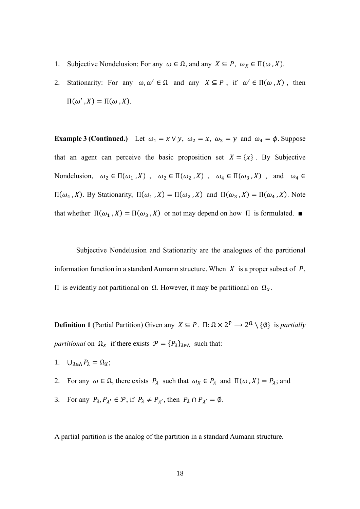- 1. Subjective Nondelusion: For any  $\omega \in \Omega$ , and any  $X \subseteq P$ ,  $\omega_X \in \Pi(\omega, X)$ .
- 2. Stationarity: For any  $\omega, \omega' \in \Omega$  and any  $X \subseteq P$ , if  $\omega' \in \Pi(\omega, X)$ , then  $\Pi(\omega', X) = \Pi(\omega, X).$

**Example 3 (Continued.)** Let  $\omega_1 = x \vee y$ ,  $\omega_2 = x$ ,  $\omega_3 = y$  and  $\omega_4 = \phi$ . Suppose that an agent can perceive the basic proposition set  $X = \{x\}$ . By Subjective Nondelusion,  $\omega_2 \in \Pi(\omega_1, X)$ ,  $\omega_2 \in \Pi(\omega_2, X)$ ,  $\omega_4 \in \Pi(\omega_3, X)$ , and  $\omega_4 \in$  $\Pi(\omega_4, X)$ . By Stationarity,  $\Pi(\omega_1, X) = \Pi(\omega_2, X)$  and  $\Pi(\omega_3, X) = \Pi(\omega_4, X)$ . Note that whether  $\Pi(\omega_1, X) = \Pi(\omega_3, X)$  or not may depend on how  $\Pi$  is formulated. ■

 Subjective Nondelusion and Stationarity are the analogues of the partitional information function in a standard Aumann structure. When  $X$  is a proper subset of  $P$ , Π is evidently not partitional on  $Ω$ . However, it may be partitional on  $Ω<sub>X</sub>$ .

**Definition 1** (Partial Partition) Given any  $X \subseteq P$ .  $\Pi$ :  $\Omega \times 2^P \longrightarrow 2^{\Omega} \setminus \{\emptyset\}$  is *partially partitional* on  $\Omega_X$  if there exists  $\mathcal{P} = \{P_\lambda\}_{\lambda \in \Lambda}$  such that:

- 1.  $\bigcup_{\lambda \in \Lambda} P_{\lambda} = \Omega_X;$
- 2. For any  $\omega \in \Omega$ , there exists  $P_{\lambda}$  such that  $\omega_X \in P_{\lambda}$  and  $\Pi(\omega, X) = P_{\lambda}$ ; and
- 3. For any  $P_{\lambda}, P_{\lambda'} \in \mathcal{P}$ , if  $P_{\lambda} \neq P_{\lambda'}$ , then  $P_{\lambda} \cap P_{\lambda'} = \emptyset$ .

A partial partition is the analog of the partition in a standard Aumann structure.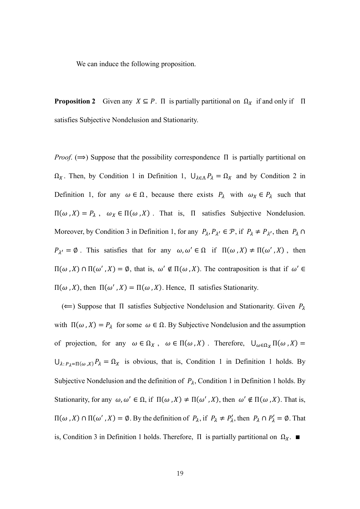We can induce the following proposition.

**Proposition 2** Given any  $X \subseteq P$ . Π is partially partitional on  $\Omega_X$  if and only if Π satisfies Subjective Nondelusion and Stationarity.

*Proof.* ( $\implies$ ) Suppose that the possibility correspondence  $\Pi$  is partially partitional on  $\Omega_X$ . Then, by Condition 1 in Definition 1,  $\bigcup_{\lambda \in \Lambda} P_{\lambda} = \Omega_X$  and by Condition 2 in Definition 1, for any  $\omega \in \Omega$ , because there exists  $P_{\lambda}$  with  $\omega_{X} \in P_{\lambda}$  such that  $\Pi(\omega, X) = P_{\lambda}$ ,  $\omega_X \in \Pi(\omega, X)$ . That is,  $\Pi$  satisfies Subjective Nondelusion. Moreover, by Condition 3 in Definition 1, for any  $P_{\lambda}, P_{\lambda'} \in \mathcal{P}$ , if  $P_{\lambda} \neq P_{\lambda'}$ , then  $P_{\lambda} \cap$  $P_{\lambda'} = \emptyset$ . This satisfies that for any  $\omega, \omega' \in \Omega$  if  $\Pi(\omega, X) \neq \Pi(\omega', X)$ , then  $\Pi(\omega, X)$  ∩  $\Pi(\omega', X) = \emptyset$ , that is,  $\omega' \notin \Pi(\omega, X)$ . The contraposition is that if  $\omega' \in$  $\Pi(\omega, X)$ , then  $\Pi(\omega', X) = \Pi(\omega, X)$ . Hence,  $\Pi$  satisfies Stationarity.

 $(\Leftarrow)$  Suppose that  $\Pi$  satisfies Subjective Nondelusion and Stationarity. Given  $P_{\lambda}$ with  $\Pi(\omega, X) = P_{\lambda}$  for some  $\omega \in \Omega$ . By Subjective Nondelusion and the assumption of projection, for any  $\omega \in \Omega_X$ ,  $\omega \in \Pi(\omega, X)$ . Therefore,  $\bigcup_{\omega \in \Omega_X} \Pi(\omega, X) =$  $\bigcup_{\lambda: P_{\lambda} = \Pi(\omega, X)} P_{\lambda} = \Omega_X$  is obvious, that is, Condition 1 in Definition 1 holds. By Subjective Nondelusion and the definition of  $P_{\lambda}$ , Condition 1 in Definition 1 holds. By Stationarity, for any  $\omega, \omega' \in \Omega$ , if  $\Pi(\omega, X) \neq \Pi(\omega', X)$ , then  $\omega' \notin \Pi(\omega, X)$ . That is,  $\Pi$ (ω, X) ∩  $\Pi$ (ω', X) = Ø. By the definition of  $P_\lambda$ , if  $P_\lambda \neq P'_\lambda$ , then  $P_\lambda \cap P'_\lambda = \emptyset$ . That is, Condition 3 in Definition 1 holds. Therefore,  $\Pi$  is partially partitional on  $\Omega_X$ . ■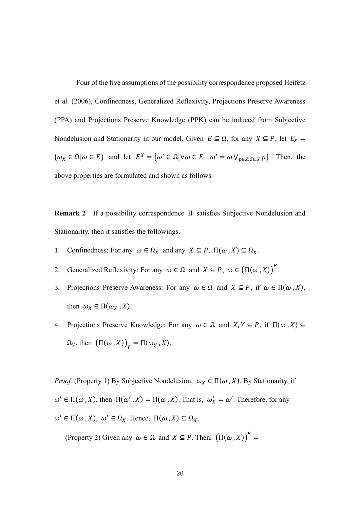Four of the five assumptions of the possibility correspondence proposed Heifetz et al. (2006), Confinedness, Generalized Reflexivity, Projections Preserve Awareness (PPA) and Projections Preserve Knowledge (PPK) can be induced from Subjective Nondelusion and Stationarity in our model. Given  $E \subseteq \Omega$ , for any  $X \subseteq P$ , let  $E_X =$  $\{\omega_X \in \Omega | \omega \in E\}$  and let  $E^X = \{\omega' \in \Omega | \forall \omega \in E \ \omega' = \omega \vee_{p \in Z: Z \subseteq X} p\}$ . Then, the above properties are formulated and shown as follows.

**Remark 2** If a possibility correspondence Π satisfies Subjective Nondelusion and Stationarity, then it satisfies the followings.

- 1. Confinedness: For any  $\omega \in \Omega_X$  and any  $X \subseteq P$ ,  $\Pi(\omega, X) \subseteq \Omega_X$ .
- 2. Generalized Reflexivity: For any  $\omega \in \Omega$  and  $X \subseteq P$ ,  $\omega \in (\Pi(\omega, X))^P$ .
- 3. Projections Preserve Awareness: For any  $\omega \in \Omega$  and  $X \subseteq P$ , if  $\omega \in \Pi(\omega, X)$ , then  $\omega_X \in \Pi(\omega_X, X)$ .
- 4. Projections Preserve Knowledge: For any  $\omega \in \Omega$  and  $X, Y \subseteq P$ , if  $\Pi(\omega, X) \subseteq$  $\Omega_Y$ , then  $(\Pi(\omega, X))_Y = \Pi(\omega_Y, X)$ .

*Proof.* (Property 1) By Subjective Nondelusion,  $\omega_X \in \Pi(\omega, X)$ . By Stationarity, if  $\omega' \in \Pi(\omega, X)$ , then  $\Pi(\omega', X) = \Pi(\omega, X)$ . That is,  $\omega'_X = \omega'$ . Therefore, for any  $\omega' \in \Pi(\omega, X), \omega' \in \Omega_X$ . Hence,  $\Pi(\omega, X) \subseteq \Omega_X$ .

(Property 2) Given any  $\omega \in \Omega$  and  $X \subseteq P$ . Then,  $(\Pi(\omega, X))^P =$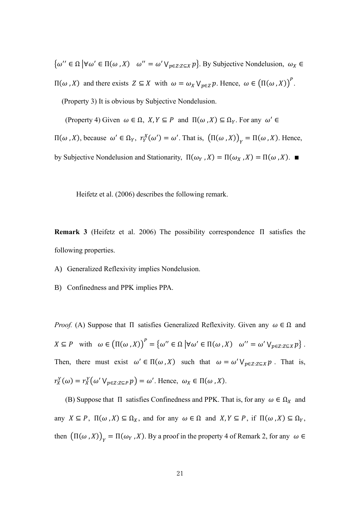$\{\omega'' \in \Omega \mid \forall \omega' \in \Pi(\omega, X) \mid \omega'' = \omega' \vee_{p \in Z: Z \subseteq X} p\}.$  By Subjective Nondelusion,  $\omega_X \in$  $\Pi$ (ω, X) and there exists  $Z \subseteq X$  with  $ω = ω_X ∨_{p \in Z} p$ . Hence, ω ∈ (Π(ω, X))<sup>P</sup>. (Property 3) It is obvious by Subjective Nondelusion.

(Property 4) Given  $\omega \in \Omega$ ,  $X, Y \subseteq P$  and  $\Pi(\omega, X) \subseteq \Omega_Y$ . For any  $\omega' \in$ 

 $\Pi$ (ω, X), because ω' ∈ Ω<sub>Y</sub>,  $r_Y^X$ (ω') = ω'. That is,  $(Π(ω, X))_Y = Π(ω, X)$ . Hence, by Subjective Nondelusion and Stationarity,  $\Pi(\omega_Y, X) = \Pi(\omega_X, X) = \Pi(\omega, X)$ .

Heifetz et al. (2006) describes the following remark.

**Remark 3** (Heifetz et al. 2006) The possibility correspondence Π satisfies the following properties.

- A) Generalized Reflexivity implies Nondelusion.
- B) Confinedness and PPK implies PPA.

*Proof.* (A) Suppose that  $\Pi$  satisfies Generalized Reflexivity. Given any  $\omega \in \Omega$  and  $X \subseteq P$  with  $\omega \in (\Pi(\omega, X))^P = {\omega'' \in \Omega \mid \forall \omega' \in \Pi(\omega, X) \quad \omega'' = \omega' \vee_{p \in Z: Z \subseteq X} p}.$ Then, there must exist  $\omega' \in \Pi(\omega, X)$  such that  $\omega = \omega' \vee_{p \in Z : Z \subseteq X} p$ . That is,  $r_X^Y(\omega) = r_X^Y(\omega' \vee_{p \in Z: Z \subseteq P} p) = \omega'.$  Hence,  $\omega_X \in \Pi(\omega, X)$ .

(B) Suppose that  $\Pi$  satisfies Confinedness and PPK. That is, for any  $\omega \in \Omega_X$  and any  $X \subseteq P$ ,  $\Pi(\omega, X) \subseteq \Omega_X$ , and for any  $\omega \in \Omega$  and  $X, Y \subseteq P$ , if  $\Pi(\omega, X) \subseteq \Omega_Y$ , then  $(\Pi(\omega, X))_Y = \Pi(\omega_Y, X)$ . By a proof in the property 4 of Remark 2, for any  $\omega \in$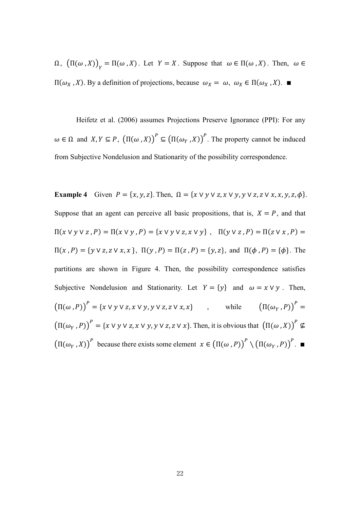$\Omega$ ,  $(\Pi(\omega, X))_{Y} = \Pi(\omega, X)$ . Let  $Y = X$ . Suppose that  $\omega \in \Pi(\omega, X)$ . Then,  $\omega \in \Omega$  $\Pi(\omega_X, X)$ . By a definition of projections, because  $\omega_X = \omega$ ,  $\omega_X \in \Pi(\omega_X, X)$ . ■

 Heifetz et al. (2006) assumes Projections Preserve Ignorance (PPI): For any  $\omega \in \Omega$  and  $X, Y \subseteq P$ ,  $(\Pi(\omega, X))^P \subseteq (\Pi(\omega_Y, X))^P$ . The property cannot be induced from Subjective Nondelusion and Stationarity of the possibility correspondence.

**Example 4** Given  $P = \{x, y, z\}$ . Then,  $\Omega = \{x \lor y \lor z, x \lor y, y \lor z, z \lor x, x, y, z, \phi\}$ . Suppose that an agent can perceive all basic propositions, that is,  $X = P$ , and that  $\Pi(x \vee y \vee z, P) = \Pi(x \vee y, P) = \{x \vee y \vee z, x \vee y\}, \quad \Pi(y \vee z, P) = \Pi(z \vee x, P) =$  $\Pi(x, P) = \{y \lor z, z \lor x, x\}, \ \Pi(y, P) = \Pi(z, P) = \{y, z\}, \text{ and } \Pi(\phi, P) = \{\phi\}.$  The partitions are shown in Figure 4. Then, the possibility correspondence satisfies Subjective Nondelusion and Stationarity. Let  $Y = \{y\}$  and  $\omega = x \vee y$ . Then,  $(\Pi(\omega, P))^P = \{x \lor y \lor z, x \lor y, y \lor z, z \lor x, x\}$ , while  $(\Pi(\omega_Y, P))$  $P =$  $(\Pi(\omega_Y, P))^P = \{x \lor y \lor z, x \lor y, y \lor z, z \lor x\}.$  Then, it is obvious that  $(\Pi(\omega, X))^P \nsubseteq$  $(\Pi(\omega_Y, X))^P$  because there exists some element  $x \in (\Pi(\omega, P))^P \setminus (\Pi(\omega_Y, P))^P$ .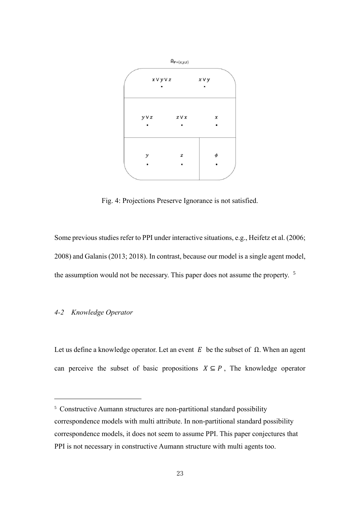

Fig. 4: Projections Preserve Ignorance is not satisfied.

Some previous studies refer to PPI under interactive situations, e.g., Heifetz et al. (2006; 2008) and Galanis (2013; 2018). In contrast, because our model is a single agent model, the assumption would not be necessary. This paper does not assume the property. <sup>5</sup>

# *4-2 Knowledge Operator*

Let us define a knowledge operator. Let an event  $E$  be the subset of  $\Omega$ . When an agent can perceive the subset of basic propositions  $X \subseteq P$ , The knowledge operator

<sup>&</sup>lt;sup>5</sup> Constructive Aumann structures are non-partitional standard possibility correspondence models with multi attribute. In non-partitional standard possibility correspondence models, it does not seem to assume PPI. This paper conjectures that PPI is not necessary in constructive Aumann structure with multi agents too.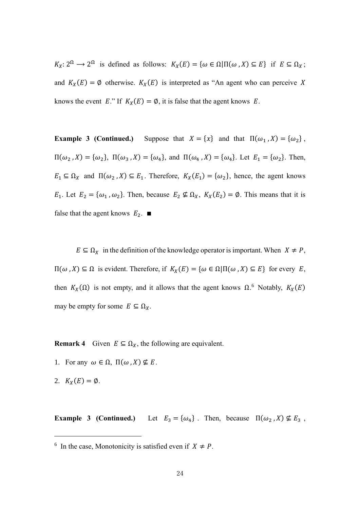$K_X: 2^{\Omega} \to 2^{\Omega}$  is defined as follows:  $K_X(E) = {\omega \in \Omega | \Pi(\omega, X) \subseteq E}$  if  $E \subseteq \Omega_X$ ; and  $K_X(E) = \emptyset$  otherwise.  $K_X(E)$  is interpreted as "An agent who can perceive X knows the event E." If  $K_X(E) = \emptyset$ , it is false that the agent knows E.

**Example 3 (Continued.)** Suppose that  $X = \{x\}$  and that  $\Pi(\omega_1, X) = \{\omega_2\}$ ,  $\Pi(\omega_2, X) = {\omega_2}, \ \Pi(\omega_3, X) = {\omega_4}, \text{ and } \Pi(\omega_4, X) = {\omega_4}.$  Let  $E_1 = {\omega_2}.$  Then,  $E_1 \subseteq \Omega_X$  and  $\Pi(\omega_2, X) \subseteq E_1$ . Therefore,  $K_X(E_1) = {\omega_2}$ , hence, the agent knows  $E_1$ . Let  $E_2 = \{\omega_1, \omega_2\}$ . Then, because  $E_2 \nsubseteq \Omega_X$ ,  $K_X(E_2) = \emptyset$ . This means that it is false that the agent knows  $E_2$ . ■

 $E \subseteq \Omega_X$  in the definition of the knowledge operator is important. When  $X \neq P$ ,  $\Pi(\omega, X) \subseteq Ω$  is evident. Therefore, if  $K_X(E) = {\omega \in Ω}$ |Π(ω, X) ⊆ E} for every E, then  $K_X(\Omega)$  is not empty, and it allows that the agent knows  $\Omega$ .<sup>6</sup> Notably,  $K_X(E)$ may be empty for some  $E \subseteq \Omega_X$ .

**Remark 4** Given  $E \subseteq \Omega_X$ , the following are equivalent.

- 1. For any  $\omega \in \Omega$ ,  $\Pi(\omega, X) \nsubseteq E$ .
- 2.  $K_X(E) = \emptyset$ .

**Example 3 (Continued.)** Let  $E_3 = {\omega_4}$ . Then, because  $\Pi(\omega_2, X) \nsubseteq E_3$ ,

<sup>&</sup>lt;sup>6</sup> In the case, Monotonicity is satisfied even if  $X \neq P$ .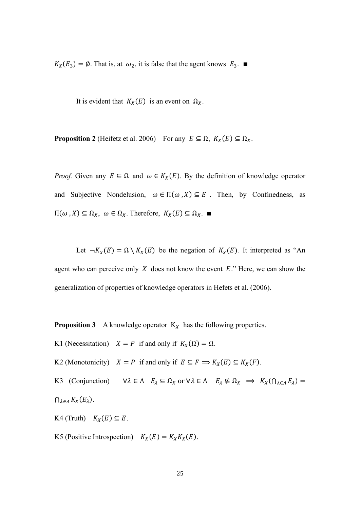$K_X(E_3) = \emptyset$ . That is, at  $\omega_2$ , it is false that the agent knows  $E_3$ . ■

It is evident that  $K_X(E)$  is an event on  $\Omega_X$ .

**Proposition 2** (Heifetz et al. 2006) For any  $E \subseteq \Omega$ ,  $K_X(E) \subseteq \Omega_X$ .

*Proof.* Given any  $E \subseteq \Omega$  and  $\omega \in K_X(E)$ . By the definition of knowledge operator and Subjective Nondelusion,  $\omega \in \Pi(\omega, X) \subseteq E$ . Then, by Confinedness, as  $\Pi(\omega, X) \subseteq \Omega_X$ ,  $\omega \in \Omega_X$ . Therefore,  $K_X(E) \subseteq \Omega_X$ .

Let  $\neg K_X(E) = \Omega \setminus K_X(E)$  be the negation of  $K_X(E)$ . It interpreted as "An agent who can perceive only  $X$  does not know the event  $E$ ." Here, we can show the generalization of properties of knowledge operators in Hefets et al. (2006).

**Proposition 3** A knowledge operator  $K_X$  has the following properties.

- K1 (Necessitation)  $X = P$  if and only if  $K_X(\Omega) = \Omega$ .
- K2 (Monotonicity)  $X = P$  if and only if  $E \subseteq F \implies K_X(E) \subseteq K_X(F)$ .

K3 (Conjunction)  $\forall \lambda \in \Lambda \quad E_{\lambda} \subseteq \Omega_X$  or  $\forall \lambda \in \Lambda \quad E_{\lambda} \not\subseteq \Omega_X \implies K_X(\cap_{\lambda \in \Lambda} E_{\lambda}) =$  $\bigcap_{\lambda \in \Lambda} K_X(E_\lambda)$ .

K4 (Truth)  $K_X(E) \subseteq E$ .

K5 (Positive Introspection)  $K_X(E) = K_X K_X(E)$ .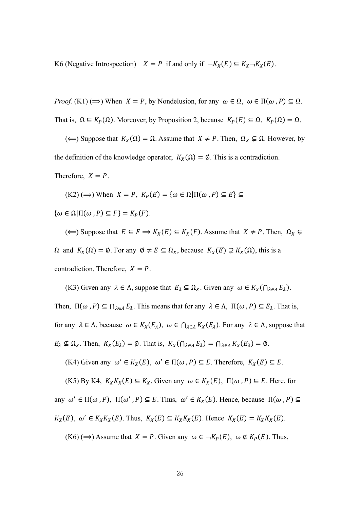K6 (Negative Introspection)  $X = P$  if and only if  $\neg K_X(E) \subseteq K_X \neg K_X(E)$ .

*Proof.* (K1) ( $\Rightarrow$ ) When  $X = P$ , by Nondelusion, for any  $\omega \in \Omega$ ,  $\omega \in \Pi(\omega, P) \subseteq \Omega$ . That is,  $\Omega \subseteq K_P(\Omega)$ . Moreover, by Proposition 2, because  $K_P(E) \subseteq \Omega$ ,  $K_P(\Omega) = \Omega$ .

(←) Suppose that  $K_X(\Omega) = \Omega$ . Assume that  $X \neq P$ . Then,  $\Omega_X \subsetneq \Omega$ . However, by the definition of the knowledge operator,  $K_X(\Omega) = \emptyset$ . This is a contradiction.

Therefore,  $X = P$ .

 $(K2) (\Rightarrow)$  When  $X = P$ ,  $K_P(E) = {\omega \in \Omega | \Pi(\omega, P) \subseteq E}$ 

 $\{\omega \in \Omega | \Pi(\omega, P) \subseteq F\} = K_P(F).$ 

(←) Suppose that  $E \subseteq F \implies K_X(E) \subseteq K_X(F)$ . Assume that  $X \neq P$ . Then,  $\Omega_X \subseteq$  $\Omega$  and  $K_X(\Omega) = \emptyset$ . For any  $\emptyset \neq E \subseteq \Omega_X$ , because  $K_X(E) \supsetneq K_X(\Omega)$ , this is a contradiction. Therefore,  $X = P$ .

(K3) Given any  $\lambda \in \Lambda$ , suppose that  $E_{\lambda} \subseteq \Omega_X$ . Given any  $\omega \in K_X(\bigcap_{\lambda \in \Lambda} E_{\lambda})$ .

Then,  $\Pi(\omega, P) \subseteq \bigcap_{\lambda \in \Lambda} E_{\lambda}$ . This means that for any  $\lambda \in \Lambda$ ,  $\Pi(\omega, P) \subseteq E_{\lambda}$ . That is, for any  $\lambda \in \Lambda$ , because  $\omega \in K_X(E_{\lambda})$ ,  $\omega \in \bigcap_{\lambda \in \Lambda} K_X(E_{\lambda})$ . For any  $\lambda \in \Lambda$ , suppose that  $E_{\lambda} \nsubseteq \Omega_X$ . Then,  $K_X(E_{\lambda}) = \emptyset$ . That is,  $K_X(\bigcap_{\lambda \in \Lambda} E_{\lambda}) = \bigcap_{\lambda \in \Lambda} K_X(E_{\lambda}) = \emptyset$ .

(K4) Given any  $\omega' \in K_X(E)$ ,  $\omega' \in \Pi(\omega, P) \subseteq E$ . Therefore,  $K_X(E) \subseteq E$ .

(K5) By K4,  $K_X K_X(E) \subseteq K_X$ . Given any  $\omega \in K_X(E)$ ,  $\Pi(\omega, P) \subseteq E$ . Here, for any  $\omega' \in \Pi(\omega, P)$ ,  $\Pi(\omega', P) \subseteq E$ . Thus,  $\omega' \in K_X(E)$ . Hence, because  $\Pi(\omega, P) \subseteq E$  $K_X(E)$ ,  $\omega' \in K_X K_X(E)$ . Thus,  $K_X(E) \subseteq K_X K_X(E)$ . Hence  $K_X(E) = K_X K_X(E)$ .

(K6) ( $\implies$ ) Assume that  $X = P$ . Given any  $\omega \in \neg K_P(E)$ ,  $\omega \notin K_P(E)$ . Thus,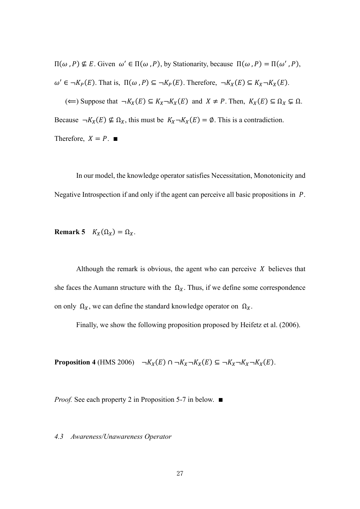$\Pi(\omega, P)$  ⊈ E. Given  $\omega' \in \Pi(\omega, P)$ , by Stationarity, because  $\Pi(\omega, P) = \Pi(\omega', P)$ ,  $\omega' \in \neg K_P(E)$ . That is,  $\Pi(\omega, P) \subseteq \neg K_P(E)$ . Therefore,  $\neg K_X(E) \subseteq K_X \neg K_X(E)$ . (←) Suppose that  $\neg K_X(E) \subseteq K_X \neg K_X(E)$  and  $X \neq P$ . Then,  $K_X(E) \subseteq \Omega_X \subsetneq \Omega$ . Because  $\neg K_X(E) \nsubseteq \Omega_X$ , this must be  $K_X \neg K_X(E) = \emptyset$ . This is a contradiction. Therefore,  $X = P$ .  $\blacksquare$ 

 In our model, the knowledge operator satisfies Necessitation, Monotonicity and Negative Introspection if and only if the agent can perceive all basic propositions in  $P$ .

**Remark 5**  $K_X(\Omega_X) = \Omega_X$ .

Although the remark is obvious, the agent who can perceive  $X$  believes that she faces the Aumann structure with the  $\Omega_X$ . Thus, if we define some correspondence on only  $\Omega_X$ , we can define the standard knowledge operator on  $\Omega_X$ .

Finally, we show the following proposition proposed by Heifetz et al. (2006).

**Proposition 4** (HMS 2006)  $\neg K_X(E) \cap \neg K_X \neg K_X(E) \subseteq \neg K_X \neg K_X \neg K_X(E)$ .

*Proof.* See each property 2 in Proposition 5-7 in below. ■

# *4.3 Awareness/Unawareness Operator*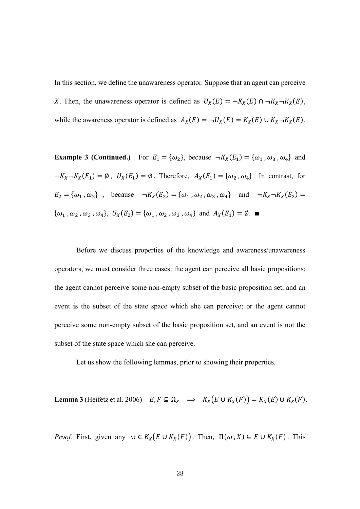In this section, we define the unawareness operator. Suppose that an agent can perceive X. Then, the unawareness operator is defined as  $U_X(E) = \neg K_X(E) \cap \neg K_X \neg K_X(E)$ , while the awareness operator is defined as  $A_X(E) = \neg U_X(E) = K_X(E) \cup K_X \neg K_X(E)$ .

**Example 3 (Continued.)** For  $E_1 = {\omega_2}$ , because  $\neg K_X(E_1) = {\omega_1, \omega_3, \omega_4}$  and  $\neg K_X \neg K_X(E_1) = \emptyset$ ,  $U_X(E_1) = \emptyset$ . Therefore,  $A_X(E_1) = \{\omega_2, \omega_4\}$ . In contrast, for  $E_2 = {\omega_1, \omega_2}$ , because  $\neg K_X(E_2) = {\omega_1, \omega_2, \omega_3, \omega_4}$  and  $\neg K_X \neg K_X(E_2) =$  $\{\omega_1, \omega_2, \omega_3, \omega_4\}, \ U_X(E_2) = \{\omega_1, \omega_2, \omega_3, \omega_4\} \text{ and } A_X(E_1) = \emptyset.$ 

 Before we discuss properties of the knowledge and awareness/unawareness operators, we must consider three cases: the agent can perceive all basic propositions; the agent cannot perceive some non-empty subset of the basic proposition set, and an event is the subset of the state space which she can perceive; or the agent cannot perceive some non-empty subset of the basic proposition set, and an event is not the subset of the state space which she can perceive.

Let us show the following lemmas, prior to showing their properties.

**Lemma 3** (Heifetz et al. 2006)  $E, F \subseteq \Omega_X \implies K_X(E \cup K_X(F)) = K_X(E) \cup K_X(F).$ 

*Proof.* First, given any  $\omega \in K_X(E \cup K_X(F))$ . Then,  $\Pi(\omega, X) \subseteq E \cup K_X(F)$ . This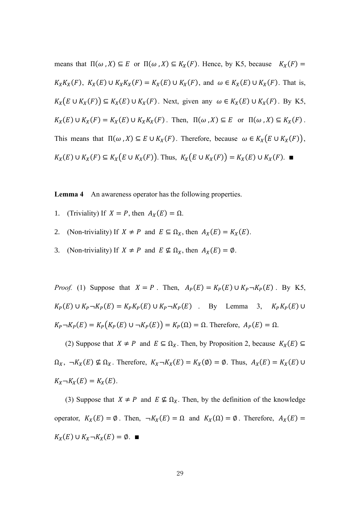means that  $\Pi(\omega, X) \subseteq E$  or  $\Pi(\omega, X) \subseteq K_X(F)$ . Hence, by K5, because  $K_X(F) =$  $K_XK_X(F)$ ,  $K_X(E) \cup K_XK_X(F) = K_X(E) \cup K_X(F)$ , and  $\omega \in K_X(E) \cup K_X(F)$ . That is,  $K_X(E \cup K_X(F)) \subseteq K_X(E) \cup K_X(F)$ . Next, given any  $\omega \in K_X(E) \cup K_X(F)$ . By K5,  $K_X(E) \cup K_X(F) = K_X(E) \cup K_XK_X(F)$ . Then,  $\Pi(\omega, X) \subseteq E$  or  $\Pi(\omega, X) \subseteq K_X(F)$ . This means that  $\Pi(\omega, X) \subseteq E \cup K_X(F)$ . Therefore, because  $\omega \in K_X(E \cup K_X(F))$ ,  $K_X(E) \cup K_X(F) \subseteq K_X(E \cup K_X(F))$ . Thus,  $K_X(E \cup K_X(F)) = K_X(E) \cup K_X(F)$ .

**Lemma 4** An awareness operator has the following properties.

- 1. (Triviality) If  $X = P$ , then  $A_X(E) = \Omega$ .
- 2. (Non-triviality) If  $X \neq P$  and  $E \subseteq \Omega_X$ , then  $A_X(E) = K_X(E)$ .
- 3. (Non-triviality) If  $X \neq P$  and  $E \nsubseteq \Omega_X$ , then  $A_X(E) = \emptyset$ .

*Proof.* (1) Suppose that  $X = P$ . Then,  $A_P(E) = K_P(E) \cup K_P \neg K_P(E)$ . By K5,  $K_P(E) \cup K_P \neg K_P(E) = K_P K_P(E) \cup K_P \neg K_P(E)$  . By Lemma 3,  $K_P K_P(E) \cup$  $K_P \neg K_P(E) = K_P(K_P(E) \cup \neg K_P(E)) = K_P(\Omega) = \Omega$ . Therefore,  $A_P(E) = \Omega$ .

(2) Suppose that  $X \neq P$  and  $E \subseteq \Omega_X$ . Then, by Proposition 2, because  $K_X(E) \subseteq$  $\Omega_X$ ,  $\neg K_X(E) \nsubseteq \Omega_X$ . Therefore,  $K_X \neg K_X(E) = K_X(\emptyset) = \emptyset$ . Thus,  $A_X(E) = K_X(E) \cup$  $K_X \neg K_X(E) = K_X(E).$ 

(3) Suppose that  $X \neq P$  and  $E \nsubseteq \Omega_X$ . Then, by the definition of the knowledge operator,  $K_X(E) = \emptyset$ . Then,  $\neg K_X(E) = \Omega$  and  $K_X(\Omega) = \emptyset$ . Therefore,  $A_X(E) =$  $K_X(E) \cup K_X \neg K_X(E) = \emptyset. \blacksquare$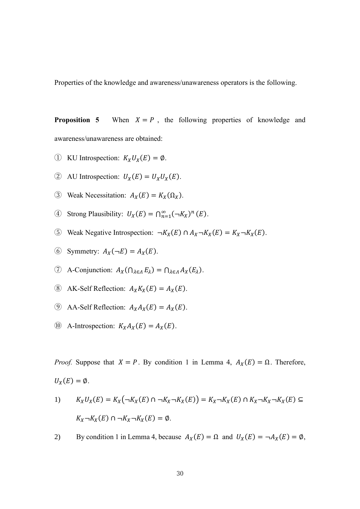Properties of the knowledge and awareness/unawareness operators is the following.

**Proposition 5** When  $X = P$ , the following properties of knowledge and awareness/unawareness are obtained:

- ① KU Introspection:  $K_XU_X(E) = \emptyset$ .
- (2) AU Introspection:  $U_X(E) = U_X U_X(E)$ .
- 3 Weak Necessitation:  $A_X(E) = K_X(\Omega_X)$ .
- 4) Strong Plausibility:  $U_X(E) = \bigcap_{n=1}^{\infty} (\neg K_X)^n(E)$ .
- **⑤** Weak Negative Introspection:  $\neg K_X(E) \cap A_X \neg K_X(E) = K_X \neg K_X(E)$ .
- $\textcircled{6}$  Symmetry:  $A_X(\neg E) = A_X(E)$ .
- $\textcircled{7}$  A-Conjunction:  $A_X(\bigcap_{\lambda \in \Lambda} E_\lambda) = \bigcap_{\lambda \in \Lambda} A_X(E_\lambda)$ .
- $\circledR$  AK-Self Reflection:  $A_X K_X(E) = A_X(E)$ .
- **(9)** AA-Self Reflection:  $A_X A_X(E) = A_X(E)$ .
- **(0)** A-Introspection:  $K_X A_X(E) = A_X(E)$ .

*Proof.* Suppose that  $X = P$ . By condition 1 in Lemma 4,  $A_X(E) = \Omega$ . Therefore,

$$
U_X(E)=\emptyset.
$$

1) 
$$
K_XU_X(E) = K_X(\neg K_X(E) \cap \neg K_X \neg K_X(E)) = K_X \neg K_X(E) \cap K_X \neg K_X \neg K_X(E) \subseteq
$$

$$
K_X \neg K_X(E) \cap \neg K_X \neg K_X(E) = \emptyset.
$$

2) By condition 1 in Lemma 4, because  $A_X(E) = \Omega$  and  $U_X(E) = \neg A_X(E) = \emptyset$ ,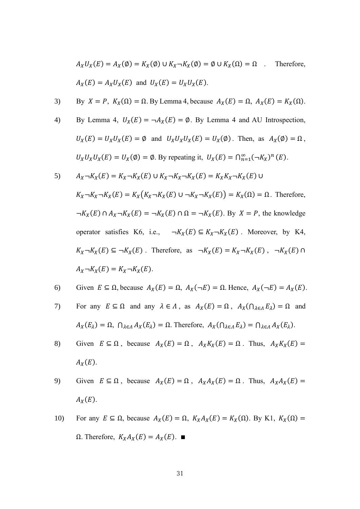$$
A_X U_X(E) = A_X(\emptyset) = K_X(\emptyset) \cup K_X \neg K_X(\emptyset) = \emptyset \cup K_X(\Omega) = \Omega \quad . \quad \text{Therefore,}
$$
\n
$$
A_X(E) = A_X U_X(E) \text{ and } U_X(E) = U_X U_X(E).
$$

3) By 
$$
X = P
$$
,  $K_X(\Omega) = \Omega$ . By Lemma 4, because  $A_X(E) = \Omega$ ,  $A_X(E) = K_X(\Omega)$ .

4) By Lemma 4, 
$$
U_X(E) = \neg A_X(E) = \emptyset
$$
. By Lemma 4 and AU Introspection,  
\n $U_X(E) = U_X U_X(E) = \emptyset$  and  $U_X U_X U_X(E) = U_X(\emptyset)$ . Then, as  $A_X(\emptyset) = \Omega$ ,  
\n $U_X U_X U_X(E) = U_X(\emptyset) = \emptyset$ . By repeating it,  $U_X(E) = \bigcap_{n=1}^{\infty} (\neg K_X)^n(E)$ .

5) 
$$
A_X \neg K_X(E) = K_X \neg K_X(E) \cup K_X \neg K_X \neg K_X(E) = K_X K_X \neg K_X(E) \cup K_X \neg K_X(E)
$$
  
\n
$$
K_X \neg K_X \neg K_X(E) = K_X(K_X \neg K_X(E) \cup \neg K_X \neg K_X(E)) = K_X(\Omega) = \Omega.
$$
 Therefore,  
\n
$$
\neg K_X(E) \cap A_X \neg K_X(E) = \neg K_X(E) \cap \Omega = \neg K_X(E).
$$
 By  $X = P$ , the knowledge operator satisfies K6, i.e., 
$$
\neg K_X(E) \subseteq K_X \neg K_X(E).
$$
 Moreover, by K4,  
\n
$$
K_X \neg K_X(E) \subseteq \neg K_X(E).
$$
 Therefore, as 
$$
\neg K_X(E) = K_X \neg K_X(E), \neg K_X(E) \cap A_X \neg K_X(E) = K_X \neg K_X(E).
$$

6) Given 
$$
E \subseteq \Omega
$$
, because  $A_X(E) = \Omega$ ,  $A_X(\neg E) = \Omega$ . Hence,  $A_X(\neg E) = A_X(E)$ .

- 7) For any  $E \subseteq \Omega$  and any  $\lambda \in \Lambda$ , as  $A_X(E) = \Omega$ ,  $A_X(\bigcap_{\lambda \in \Lambda} E_{\lambda}) = \Omega$  and  $A_X(E_\lambda) = \Omega$ ,  $\bigcap_{\lambda \in \Lambda} A_X(E_\lambda) = \Omega$ . Therefore,  $A_X(\bigcap_{\lambda \in \Lambda} E_\lambda) = \bigcap_{\lambda \in \Lambda} A_X(E_\lambda)$ .
- 8) Given  $E \subseteq \Omega$ , because  $A_X(E) = \Omega$ ,  $A_X K_X(E) = \Omega$ . Thus,  $A_X K_X(E) =$  $A_X(E)$ .
- 9) Given  $E \subseteq \Omega$ , because  $A_X(E) = \Omega$ ,  $A_X A_X(E) = \Omega$ . Thus,  $A_X A_X(E) =$  $A_X(E)$ .

10) For any 
$$
E \subseteq \Omega
$$
, because  $A_X(E) = \Omega$ ,  $K_X A_X(E) = K_X(\Omega)$ . By K1,  $K_X(\Omega) = \Omega$ . Therefore,  $K_X A_X(E) = A_X(E)$ .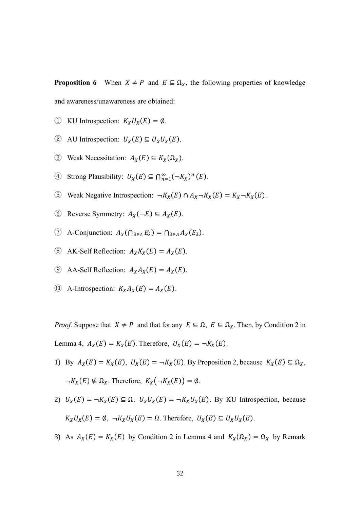**Proposition 6** When  $X \neq P$  and  $E \subseteq \Omega_X$ , the following properties of knowledge and awareness/unawareness are obtained:

- ① KU Introspection:  $K_XU_X(E) = \emptyset$ .
- 2 AU Introspection:  $U_X(E) \subseteq U_X U_X(E)$ .
- 3 Weak Necessitation:  $A_X(E) \subseteq K_X(\Omega_X)$ .
- 4) Strong Plausibility:  $U_X(E) \subseteq \bigcap_{n=1}^{\infty} (\neg K_X)^n(E)$ .
- $\odot$  Weak Negative Introspection: ¬K<sub>X</sub>(E) ∩ A<sub>x</sub> ¬K<sub>X</sub>(E) = K<sub>x</sub> ¬K<sub>X</sub>(E).
- **⑥** Reverse Symmetry:  $A_X(\neg E) \subseteq A_X(E)$ .
- $\textcircled{7}$  A-Conjunction:  $A_X(\bigcap_{\lambda \in \Lambda} E_\lambda) = \bigcap_{\lambda \in \Lambda} A_X(E_\lambda)$ .
- $\circledR$  AK-Self Reflection:  $A_X K_X(E) = A_X(E)$ .
- **(9)** AA-Self Reflection:  $A_X A_X(E) = A_X(E)$ .
- (0) A-Introspection:  $K_X A_X(E) = A_X(E)$ .

*Proof.* Suppose that  $X \neq P$  and that for any  $E \subseteq \Omega$ ,  $E \subseteq \Omega_X$ . Then, by Condition 2 in Lemma 4,  $A_X(E) = K_X(E)$ . Therefore,  $U_X(E) = \neg K_X(E)$ .

- 1) By  $A_X(E) = K_X(E)$ ,  $U_X(E) = \neg K_X(E)$ . By Proposition 2, because  $K_X(E) \subseteq \Omega_X$ ,  $\neg K_X(E) \nsubseteq \Omega_X$ . Therefore,  $K_X(\neg K_X(E)) = \emptyset$ .
- 2)  $U_X(E) = \neg K_X(E) \subseteq \Omega$ .  $U_X U_X(E) = \neg K_X U_X(E)$ . By KU Introspection, because  $K_XU_X(E) = \emptyset$ ,  $\neg K_XU_X(E) = \Omega$ . Therefore,  $U_X(E) \subseteq U_XU_X(E)$ .
- 3) As  $A_X(E) = K_X(E)$  by Condition 2 in Lemma 4 and  $K_X(\Omega_X) = \Omega_X$  by Remark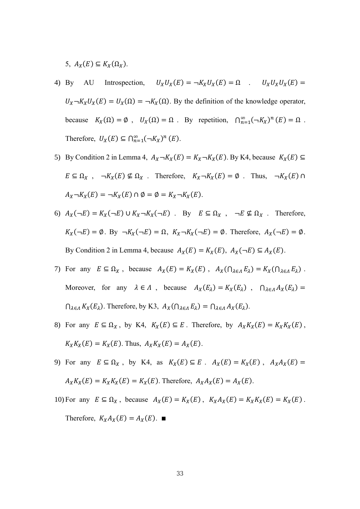5,  $A_X(E) \subseteq K_X(\Omega_X)$ .

- 4) By AU Introspection,  $U_x U_x(E) = \neg K_x U_x(E) = \Omega$  .  $U_x U_x U_x(E) =$  $U_X \neg K_X U_X(E) = U_X(\Omega) = \neg K_X(\Omega)$ . By the definition of the knowledge operator, because  $K_X(\Omega) = \emptyset$ ,  $U_X(\Omega) = \Omega$ . By repetition,  $\bigcap_{n=1}^{\infty} (\neg K_X)^n(E) = \Omega$ . Therefore,  $U_X(E) \subseteq \bigcap_{n=1}^{\infty} (\neg K_X)^n(E)$ .
- 5) By Condition 2 in Lemma 4,  $A_X \neg K_X(E) = K_X \neg K_X(E)$ . By K4, because  $K_X(E) \subseteq$  $E \subseteq \Omega_X$ ,  $\neg K_X(E) \nsubseteq \Omega_X$ . Therefore,  $K_X \neg K_X(E) = \emptyset$ . Thus,  $\neg K_X(E) \cap \Omega_X$  $A_X \neg K_X(E) = \neg K_X(E) \cap \emptyset = \emptyset = K_X \neg K_X(E).$
- 6)  $A_X(\neg E) = K_X(\neg E) \cup K_X \neg K_X(\neg E)$ . By  $E \subseteq \Omega_X$ ,  $\neg E \nsubseteq \Omega_X$ . Therefore,  $K_X(\neg E) = \emptyset$ . By  $\neg K_X(\neg E) = \Omega$ ,  $K_X \neg K_X(\neg E) = \emptyset$ . Therefore,  $A_X(\neg E) = \emptyset$ . By Condition 2 in Lemma 4, because  $A_X(E) = K_X(E)$ ,  $A_X(\neg E) \subseteq A_X(E)$ .
- 7) For any  $E \subseteq \Omega_X$ , because  $A_X(E) = K_X(E)$ ,  $A_X(\cap_{\lambda \in \Lambda} E_\lambda) = K_X(\cap_{\lambda \in \Lambda} E_\lambda)$ . Moreover, for any  $\lambda \in \Lambda$ , because  $A_X(E_\lambda) = K_X(E_\lambda)$ ,  $\bigcap_{\lambda \in \Lambda} A_X(E_\lambda) =$  $\bigcap_{\lambda \in \Lambda} K_X(E_\lambda)$ . Therefore, by K3,  $A_X(\bigcap_{\lambda \in \Lambda} E_\lambda) = \bigcap_{\lambda \in \Lambda} A_X(E_\lambda)$ .
- 8) For any  $E \subseteq \Omega_X$ , by K4,  $K_X(E) \subseteq E$ . Therefore, by  $A_X K_X(E) = K_X K_X(E)$ ,  $K_X K_X(E) = K_X(E)$ . Thus,  $A_X K_X(E) = A_X(E)$ .
- 9) For any  $E \subseteq \Omega_X$ , by K4, as  $K_X(E) \subseteq E$ .  $A_X(E) = K_X(E)$ ,  $A_X A_X(E) =$  $A_X K_X(E) = K_X K_X(E) = K_X(E)$ . Therefore,  $A_X A_X(E) = A_X(E)$ .

10) For any  $E \subseteq \Omega_X$ , because  $A_X(E) = K_X(E)$ ,  $K_X A_X(E) = K_X K_X(E) = K_X(E)$ .

Therefore,  $K_X A_X(E) = A_X(E)$ . ■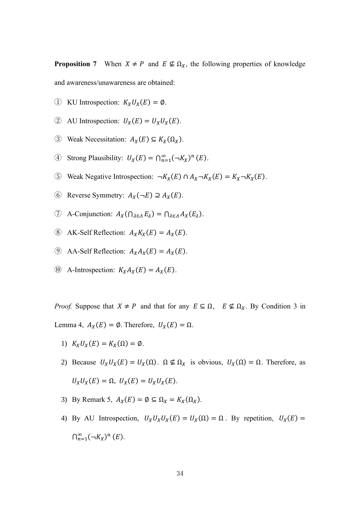**Proposition 7** When  $X \neq P$  and  $E \nsubseteq \Omega_X$ , the following properties of knowledge and awareness/unawareness are obtained:

- ① KU Introspection:  $K_XU_X(E) = \emptyset$ .
- (2) AU Introspection:  $U_X(E) = U_X U_X(E)$ .
- 3 Weak Necessitation:  $A_X(E) \subseteq K_X(\Omega_X)$ .
- 4) Strong Plausibility:  $U_X(E) = \bigcap_{n=1}^{\infty} (\neg K_X)^n(E)$ .
- **⑤** Weak Negative Introspection:  $\neg K_X(E) \cap A_X \neg K_X(E) = K_X \neg K_X(E)$ .
- $\odot$  Reverse Symmetry:  $A_X(\neg E) \supseteq A_X(E)$ .
- $\textcircled{7}$  A-Conjunction:  $A_X(\bigcap_{\lambda \in \Lambda} E_\lambda) = \bigcap_{\lambda \in \Lambda} A_X(E_\lambda)$ .
- $\circledR$  AK-Self Reflection:  $A_X K_X(E) = A_X(E)$ .
- **(9)** AA-Self Reflection:  $A_X A_X(E) = A_X(E)$ .
- (iii) A-Introspection:  $K_X A_X(E) = A_X(E)$ .

*Proof.* Suppose that  $X \neq P$  and that for any  $E \subseteq \Omega$ ,  $E \not\subseteq \Omega_X$ . By Condition 3 in Lemma 4,  $A_X(E) = \emptyset$ . Therefore,  $U_X(E) = \Omega$ .

- 1)  $K_XU_X(E) = K_X(\Omega) = \emptyset$ .
- 2) Because  $U_XU_X(E) = U_X(\Omega)$ .  $\Omega \nsubseteq \Omega_X$  is obvious,  $U_X(\Omega) = \Omega$ . Therefore, as  $U_XU_X(E) = \Omega$ ,  $U_X(E) = U_XU_X(E)$ .
- 3) By Remark 5,  $A_X(E) = \emptyset \subseteq \Omega_X = K_X(\Omega_X)$ .
- 4) By AU Introspection,  $U_X U_X U_X (E) = U_X(\Omega) = \Omega$ . By repetition,  $U_X(E) =$  $\bigcap_{n=1}^{\infty}(\neg K_X)^n(E).$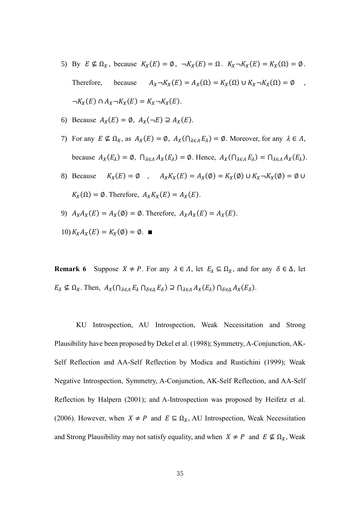- 5) By  $E \nsubseteq \Omega_X$ , because  $K_X(E) = \emptyset$ ,  $\neg K_X(E) = \Omega$ .  $K_X \neg K_X(E) = K_X(\Omega) = \emptyset$ . Therefore, because  $A_X \neg K_X(E) = A_X(\Omega) = K_X(\Omega) \cup K_X \neg K_X(\Omega) = \emptyset$ ,  $\neg K_X(E) \cap A_X \neg K_X(E) = K_X \neg K_X(E).$
- 6) Because  $A_X(E) = \emptyset$ ,  $A_X(\neg E) \supseteq A_X(E)$ .
- 7) For any  $E \nsubseteq \Omega_X$ , as  $A_X(E) = \emptyset$ ,  $A_X(\bigcap_{\lambda \in \Lambda} E_\lambda) = \emptyset$ . Moreover, for any  $\lambda \in \Lambda$ , because  $A_X(E_\lambda) = \emptyset$ ,  $\bigcap_{\lambda \in \Lambda} A_X(E_\lambda) = \emptyset$ . Hence,  $A_X(\bigcap_{\lambda \in \Lambda} E_\lambda) = \bigcap_{\lambda \in \Lambda} A_X(E_\lambda)$ .
- 8) Because  $K_X(E) = \emptyset$ ,  $A_X K_X(E) = A_X(\emptyset) = K_X(\emptyset) \cup K_X \neg K_X(\emptyset) = \emptyset \cup$  $K_X(\Omega) = \emptyset$ . Therefore,  $A_X K_X(E) = A_X(E)$ .
- 9)  $A_XA_X(E) = A_X(\emptyset) = \emptyset$ . Therefore,  $A_XA_X(E) = A_X(E)$ .

$$
10) K_X A_X(E) = K_X(\emptyset) = \emptyset. \quad \blacksquare
$$

**Remark 6** Suppose  $X \neq P$ . For any  $\lambda \in \Lambda$ , let  $E_{\lambda} \subseteq \Omega_X$ , and for any  $\delta \in \Delta$ , let  $E_{\delta} \nsubseteq \Omega_X$ . Then,  $A_X(\bigcap_{\lambda \in \Lambda} E_{\lambda} \bigcap_{\delta \in \Delta} E_{\delta}) \supseteq \bigcap_{\lambda \in \Lambda} A_X(E_{\lambda}) \bigcap_{\delta \in \Delta} A_X(E_{\delta})$ .

 KU Introspection, AU Introspection, Weak Necessitation and Strong Plausibility have been proposed by Dekel et al. (1998); Symmetry, A-Conjunction, AK-Self Reflection and AA-Self Reflection by Modica and Rustichini (1999); Weak Negative Introspection, Symmetry, A-Conjunction, AK-Self Reflection, and AA-Self Reflection by Halpern (2001); and A-Introspection was proposed by Heifetz et al. (2006). However, when  $X \neq P$  and  $E \subseteq \Omega_X$ , AU Introspection, Weak Necessitation and Strong Plausibility may not satisfy equality, and when  $X \neq P$  and  $E \nsubseteq \Omega_X$ , Weak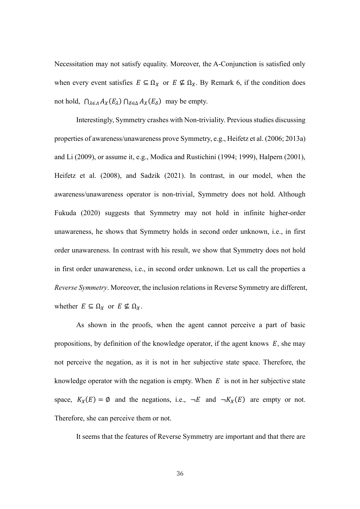Necessitation may not satisfy equality. Moreover, the A-Conjunction is satisfied only when every event satisfies  $E \subseteq \Omega_X$  or  $E \nsubseteq \Omega_X$ . By Remark 6, if the condition does not hold,  $\bigcap_{\lambda \in A} A_X(E_\lambda) \bigcap_{\delta \in \Delta} A_X(E_\delta)$  may be empty.

 Interestingly, Symmetry crashes with Non-triviality. Previous studies discussing properties of awareness/unawareness prove Symmetry, e.g., Heifetz et al. (2006; 2013a) and Li (2009), or assume it, e.g., Modica and Rustichini (1994; 1999), Halpern (2001), Heifetz et al. (2008), and Sadzik (2021). In contrast, in our model, when the awareness/unawareness operator is non-trivial, Symmetry does not hold. Although Fukuda (2020) suggests that Symmetry may not hold in infinite higher-order unawareness, he shows that Symmetry holds in second order unknown, i.e., in first order unawareness. In contrast with his result, we show that Symmetry does not hold in first order unawareness, i.e., in second order unknown. Let us call the properties a *Reverse Symmetry*. Moreover, the inclusion relations in Reverse Symmetry are different, whether  $E \subseteq \Omega_X$  or  $E \nsubseteq \Omega_X$ .

 As shown in the proofs, when the agent cannot perceive a part of basic propositions, by definition of the knowledge operator, if the agent knows  $E$ , she may not perceive the negation, as it is not in her subjective state space. Therefore, the knowledge operator with the negation is empty. When  $E$  is not in her subjective state space,  $K_X(E) = \emptyset$  and the negations, i.e.,  $\neg E$  and  $\neg K_X(E)$  are empty or not. Therefore, she can perceive them or not.

It seems that the features of Reverse Symmetry are important and that there are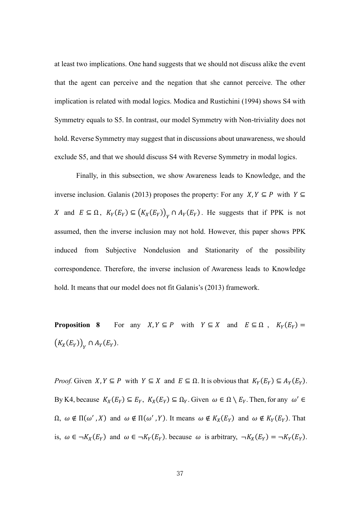at least two implications. One hand suggests that we should not discuss alike the event that the agent can perceive and the negation that she cannot perceive. The other implication is related with modal logics. Modica and Rustichini (1994) shows S4 with Symmetry equals to S5. In contrast, our model Symmetry with Non-triviality does not hold. Reverse Symmetry may suggest that in discussions about unawareness, we should exclude S5, and that we should discuss S4 with Reverse Symmetry in modal logics.

 Finally, in this subsection, we show Awareness leads to Knowledge, and the inverse inclusion. Galanis (2013) proposes the property: For any  $X, Y \subseteq P$  with  $Y \subseteq$ X and  $E \subseteq \Omega$ ,  $K_Y(E_Y) \subseteq (K_X(E_Y))_Y \cap A_Y(E_Y)$ . He suggests that if PPK is not assumed, then the inverse inclusion may not hold. However, this paper shows PPK induced from Subjective Nondelusion and Stationarity of the possibility correspondence. Therefore, the inverse inclusion of Awareness leads to Knowledge hold. It means that our model does not fit Galanis's (2013) framework.

**Proposition 8** For any  $X, Y \subseteq P$  with  $Y \subseteq X$  and  $E \subseteq \Omega$ ,  $K_Y(E_Y) =$  $(K_X(E_Y))_Y \cap A_Y(E_Y).$ 

*Proof.* Given  $X, Y \subseteq P$  with  $Y \subseteq X$  and  $E \subseteq \Omega$ . It is obvious that  $K_Y(E_Y) \subseteq A_Y(E_Y)$ . By K4, because  $K_X(E_Y) \subseteq E_Y$ ,  $K_X(E_Y) \subseteq \Omega_Y$ . Given  $\omega \in \Omega \setminus E_Y$ . Then, for any  $\omega' \in$  $\Omega$ ,  $\omega \notin \Pi(\omega', X)$  and  $\omega \notin \Pi(\omega', Y)$ . It means  $\omega \notin K_X(E_Y)$  and  $\omega \notin K_Y(E_Y)$ . That is,  $\omega \in \neg K_X(E_Y)$  and  $\omega \in \neg K_Y(E_Y)$  because  $\omega$  is arbitrary,  $\neg K_X(E_Y) = \neg K_Y(E_Y)$ .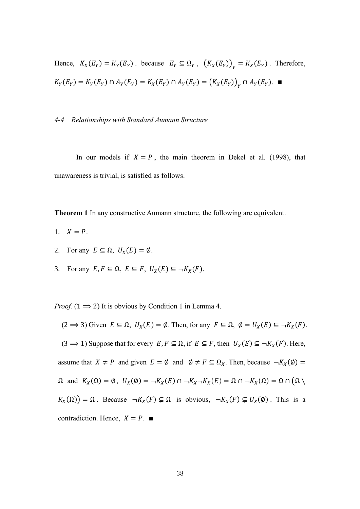Hence,  $K_X(E_Y) = K_Y(E_Y)$ . because  $E_Y \subseteq \Omega_Y$ ,  $(K_X(E_Y))_Y = K_X(E_Y)$ . Therefore,  $K_Y(E_Y) = K_Y(E_Y) \cap A_Y(E_Y) = K_X(E_Y) \cap A_Y(E_Y) = (K_X(E_Y))_{Y} \cap A_Y(E_Y).$ 

#### *4-4 Relationships with Standard Aumann Structure*

In our models if  $X = P$ , the main theorem in Dekel et al. (1998), that unawareness is trivial, is satisfied as follows.

**Theorem 1** In any constructive Aumann structure, the following are equivalent.

- 1.  $X = P$ .
- 2. For any  $E \subseteq \Omega$ ,  $U_x(E) = \emptyset$ .
- 3. For any  $E, F \subseteq \Omega$ ,  $E \subseteq F$ ,  $U_X(E) \subseteq \neg K_X(F)$ .

*Proof.*  $(1 \implies 2)$  It is obvious by Condition 1 in Lemma 4.

 $(2 \implies 3)$  Given  $E \subseteq \Omega$ ,  $U_X(E) = \emptyset$ . Then, for any  $F \subseteq \Omega$ ,  $\emptyset = U_X(E) \subseteq \neg K_X(F)$ .  $(3 \implies 1)$  Suppose that for every  $E, F \subseteq \Omega$ , if  $E \subseteq F$ , then  $U_X(E) \subseteq \neg K_X(F)$ . Here, assume that  $X \neq P$  and given  $E = \emptyset$  and  $\emptyset \neq F \subseteq \Omega_X$ . Then, because  $\neg K_X(\emptyset) =$  $\Omega$  and  $K_X(\Omega) = \emptyset$ ,  $U_X(\emptyset) = \neg K_X(E) \cap \neg K_X \neg K_X(E) = \Omega \cap \neg K_X(\Omega) = \Omega \cap (\Omega \setminus$  $K_X(\Omega) = \Omega$ . Because  $\neg K_X(F) \subsetneq \Omega$  is obvious,  $\neg K_X(F) \subsetneq U_X(\emptyset)$ . This is a contradiction. Hence,  $X = P$ . ■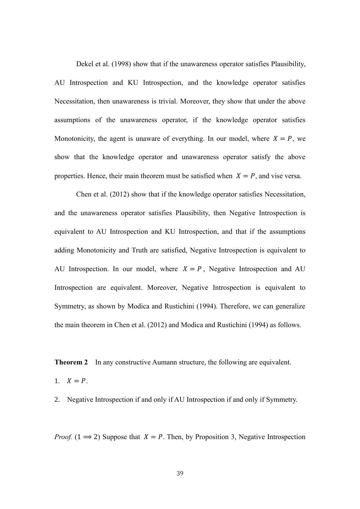Dekel et al. (1998) show that if the unawareness operator satisfies Plausibility, AU Introspection and KU Introspection, and the knowledge operator satisfies Necessitation, then unawareness is trivial. Moreover, they show that under the above assumptions of the unawareness operator, if the knowledge operator satisfies Monotonicity, the agent is unaware of everything. In our model, where  $X = P$ , we show that the knowledge operator and unawareness operator satisfy the above properties. Hence, their main theorem must be satisfied when  $X = P$ , and vise versa.

 Chen et al. (2012) show that if the knowledge operator satisfies Necessitation, and the unawareness operator satisfies Plausibility, then Negative Introspection is equivalent to AU Introspection and KU Introspection, and that if the assumptions adding Monotonicity and Truth are satisfied, Negative Introspection is equivalent to AU Introspection. In our model, where  $X = P$ , Negative Introspection and AU Introspection are equivalent. Moreover, Negative Introspection is equivalent to Symmetry, as shown by Modica and Rustichini (1994). Therefore, we can generalize the main theorem in Chen et al. (2012) and Modica and Rustichini (1994) as follows.

**Theorem 2** In any constructive Aumann structure, the following are equivalent.

1.  $X = P$ .

2. Negative Introspection if and only if AU Introspection if and only if Symmetry.

*Proof.* (1  $\Rightarrow$  2) Suppose that  $X = P$ . Then, by Proposition 3, Negative Introspection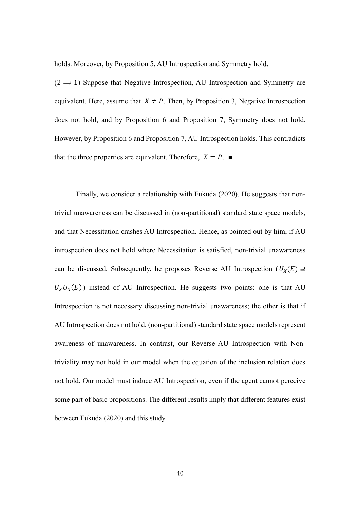holds. Moreover, by Proposition 5, AU Introspection and Symmetry hold.

 $(2 \implies 1)$  Suppose that Negative Introspection, AU Introspection and Symmetry are equivalent. Here, assume that  $X \neq P$ . Then, by Proposition 3, Negative Introspection does not hold, and by Proposition 6 and Proposition 7, Symmetry does not hold. However, by Proposition 6 and Proposition 7, AU Introspection holds. This contradicts that the three properties are equivalent. Therefore,  $X = P$ .

 Finally, we consider a relationship with Fukuda (2020). He suggests that nontrivial unawareness can be discussed in (non-partitional) standard state space models, and that Necessitation crashes AU Introspection. Hence, as pointed out by him, if AU introspection does not hold where Necessitation is satisfied, non-trivial unawareness can be discussed. Subsequently, he proposes Reverse AU Introspection ( $U_X(E) \supseteq$  $U_xU_x(E)$ ) instead of AU Introspection. He suggests two points: one is that AU Introspection is not necessary discussing non-trivial unawareness; the other is that if AU Introspection does not hold, (non-partitional) standard state space models represent awareness of unawareness. In contrast, our Reverse AU Introspection with Nontriviality may not hold in our model when the equation of the inclusion relation does not hold. Our model must induce AU Introspection, even if the agent cannot perceive some part of basic propositions. The different results imply that different features exist between Fukuda (2020) and this study.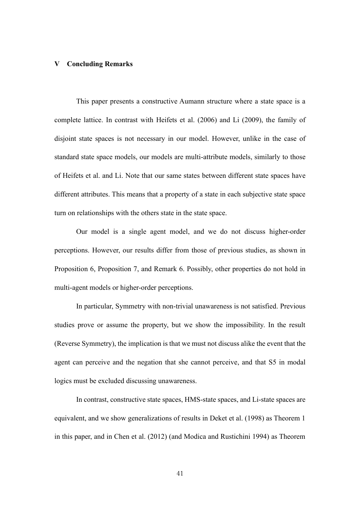## **Ⅴ Concluding Remarks**

 This paper presents a constructive Aumann structure where a state space is a complete lattice. In contrast with Heifets et al. (2006) and Li (2009), the family of disjoint state spaces is not necessary in our model. However, unlike in the case of standard state space models, our models are multi-attribute models, similarly to those of Heifets et al. and Li. Note that our same states between different state spaces have different attributes. This means that a property of a state in each subjective state space turn on relationships with the others state in the state space.

 Our model is a single agent model, and we do not discuss higher-order perceptions. However, our results differ from those of previous studies, as shown in Proposition 6, Proposition 7, and Remark 6. Possibly, other properties do not hold in multi-agent models or higher-order perceptions.

 In particular, Symmetry with non-trivial unawareness is not satisfied. Previous studies prove or assume the property, but we show the impossibility. In the result (Reverse Symmetry), the implication is that we must not discuss alike the event that the agent can perceive and the negation that she cannot perceive, and that S5 in modal logics must be excluded discussing unawareness.

 In contrast, constructive state spaces, HMS-state spaces, and Li-state spaces are equivalent, and we show generalizations of results in Deket et al. (1998) as Theorem 1 in this paper, and in Chen et al. (2012) (and Modica and Rustichini 1994) as Theorem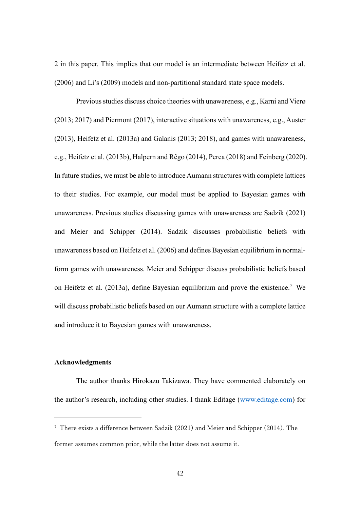2 in this paper. This implies that our model is an intermediate between Heifetz et al. (2006) and Li's (2009) models and non-partitional standard state space models.

 Previous studies discuss choice theories with unawareness, e.g., Karni and Vierø (2013; 2017) and Piermont (2017), interactive situations with unawareness, e.g., Auster (2013), Heifetz et al. (2013a) and Galanis (2013; 2018), and games with unawareness, e.g., Heifetz et al. (2013b), Halpern and Rêgo (2014), Perea (2018) and Feinberg (2020). In future studies, we must be able to introduce Aumann structures with complete lattices to their studies. For example, our model must be applied to Bayesian games with unawareness. Previous studies discussing games with unawareness are Sadzik (2021) and Meier and Schipper (2014). Sadzik discusses probabilistic beliefs with unawareness based on Heifetz et al. (2006) and defines Bayesian equilibrium in normalform games with unawareness. Meier and Schipper discuss probabilistic beliefs based on Heifetz et al. (2013a), define Bayesian equilibrium and prove the existence.<sup>7</sup> We will discuss probabilistic beliefs based on our Aumann structure with a complete lattice and introduce it to Bayesian games with unawareness.

## **Acknowledgments**

 The author thanks Hirokazu Takizawa. They have commented elaborately on the author's research, including other studies. I thank Editage [\(www.editage.com\)](http://www.editage.com/) for

<sup>7</sup> There exists a difference between Sadzik (2021) and Meier and Schipper (2014). The former assumes common prior, while the latter does not assume it.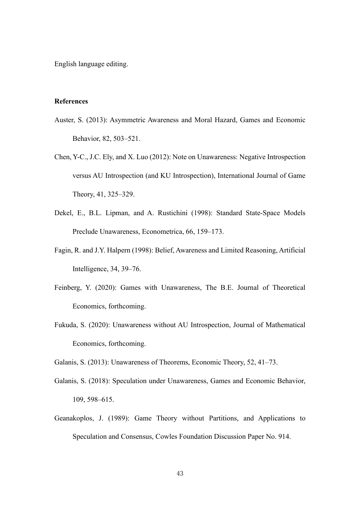English language editing.

### **References**

- Auster, S. (2013): Asymmetric Awareness and Moral Hazard, Games and Economic Behavior, 82, 503–521.
- Chen, Y-C., J.C. Ely, and X. Luo (2012): Note on Unawareness: Negative Introspection versus AU Introspection (and KU Introspection), International Journal of Game Theory, 41, 325–329.
- Dekel, E., B.L. Lipman, and A. Rustichini (1998): Standard State-Space Models Preclude Unawareness, Econometrica, 66, 159–173.
- Fagin, R. and J.Y. Halpern (1998): Belief, Awareness and Limited Reasoning, Artificial Intelligence, 34, 39–76.
- Feinberg, Y. (2020): Games with Unawareness, The B.E. Journal of Theoretical Economics, forthcoming.
- Fukuda, S. (2020): Unawareness without AU Introspection, Journal of Mathematical Economics, forthcoming.
- Galanis, S. (2013): Unawareness of Theorems, Economic Theory, 52, 41–73.
- Galanis, S. (2018): Speculation under Unawareness, Games and Economic Behavior, 109, 598–615.
- Geanakoplos, J. (1989): Game Theory without Partitions, and Applications to Speculation and Consensus, Cowles Foundation Discussion Paper No. 914.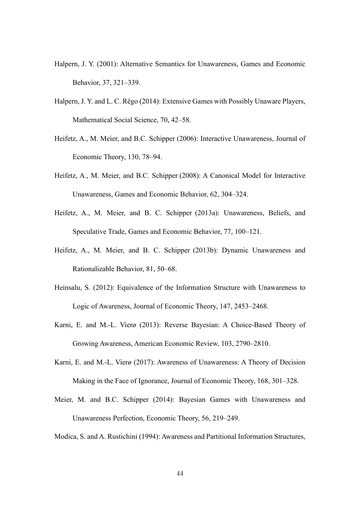- Halpern, J. Y. (2001): Alternative Semantics for Unawareness, Games and Economic Behavior, 37, 321–339.
- Halpern, J. Y. and L. C. Rêgo (2014): Extensive Games with Possibly Unaware Players, Mathematical Social Science, 70, 42–58.
- Heifetz, A., M. Meier, and B.C. Schipper (2006): Interactive Unawareness, Journal of Economic Theory, 130, 78–94.
- Heifetz, A., M. Meier, and B.C. Schipper (2008): A Canonical Model for Interactive Unawareness, Games and Economic Behavior, 62, 304–324.
- Heifetz, A., M. Meier, and B. C. Schipper (2013a): Unawareness, Beliefs, and Speculative Trade, Games and Economic Behavior, 77, 100–121.
- Heifetz, A., M. Meier, and B. C. Schipper (2013b): Dynamic Unawareness and Rationalizable Behavior, 81, 50–68.
- Heinsalu, S. (2012): Equivalence of the Information Structure with Unawareness to Logic of Awareness, Journal of Economic Theory, 147, 2453–2468.
- Karni, E. and M.-L. Vierø (2013): Reverse Bayesian: A Choice-Based Theory of Growing Awareness, American Economic Review, 103, 2790–2810.
- Karni, E. and M.-L. Vierø (2017): Awareness of Unawareness: A Theory of Decision Making in the Face of Ignorance, Journal of Economic Theory, 168, 301–328.
- Meier, M. and B.C. Schipper (2014): Bayesian Games with Unawareness and Unawareness Perfection, Economic Theory, 56, 219–249.

Modica, S. and A. Rustichini (1994): Awareness and Partitional Information Structures,